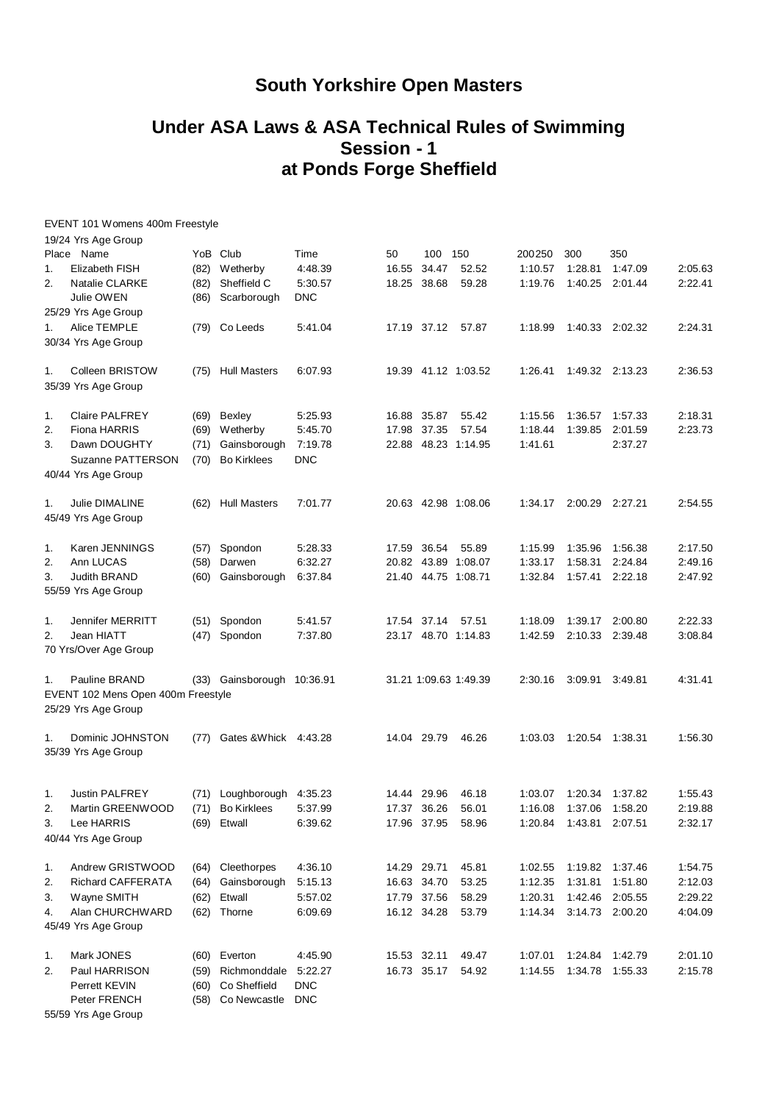## **South Yorkshire Open Masters**

## **Under ASA Laws & ASA Technical Rules of Swimming Session - 1 at Ponds Forge Sheffield**

|    | EVENT 101 Womens 400m Freestyle          |      |                            |            |             |             |                       |         |                           |                 |         |
|----|------------------------------------------|------|----------------------------|------------|-------------|-------------|-----------------------|---------|---------------------------|-----------------|---------|
|    | 19/24 Yrs Age Group                      |      |                            |            |             |             |                       |         |                           |                 |         |
|    | Place Name                               |      | YoB Club                   | Time       | 50          | 100         | 150                   | 200250  | 300                       | 350             |         |
| 1. | Elizabeth FISH                           |      | (82) Wetherby              | 4:48.39    | 16.55       | 34.47       | 52.52                 | 1:10.57 | 1:28.81                   | 1:47.09         | 2:05.63 |
| 2. | Natalie CLARKE                           | (82) | Sheffield C                | 5:30.57    | 18.25       | 38.68       | 59.28                 | 1:19.76 | 1:40.25                   | 2:01.44         | 2:22.41 |
|    | Julie OWEN                               |      | (86) Scarborough           | <b>DNC</b> |             |             |                       |         |                           |                 |         |
|    | 25/29 Yrs Age Group                      |      |                            |            |             |             |                       |         |                           |                 |         |
| 1. | Alice TEMPLE                             |      | (79) Co Leeds              | 5:41.04    |             | 17.19 37.12 | 57.87                 | 1:18.99 |                           | 1:40.33 2:02.32 | 2:24.31 |
|    | 30/34 Yrs Age Group                      |      |                            |            |             |             |                       |         |                           |                 |         |
| 1. | Colleen BRISTOW                          |      | (75) Hull Masters          | 6:07.93    |             |             | 19.39 41.12 1:03.52   | 1:26.41 |                           | 1:49.32 2:13.23 | 2:36.53 |
|    | 35/39 Yrs Age Group                      |      |                            |            |             |             |                       |         |                           |                 |         |
| 1. | <b>Claire PALFREY</b>                    |      | (69) Bexley                | 5:25.93    |             | 16.88 35.87 | 55.42                 | 1:15.56 | 1:36.57                   | 1:57.33         | 2:18.31 |
| 2. | <b>Fiona HARRIS</b>                      | (69) | Wetherby                   | 5:45.70    | 17.98       | 37.35       | 57.54                 | 1:18.44 | 1:39.85                   | 2:01.59         | 2:23.73 |
| 3. | Dawn DOUGHTY                             | (71) | Gainsborough               | 7:19.78    |             |             | 22.88 48.23 1:14.95   | 1:41.61 |                           | 2:37.27         |         |
|    | Suzanne PATTERSON<br>40/44 Yrs Age Group | (70) | <b>Bo Kirklees</b>         | <b>DNC</b> |             |             |                       |         |                           |                 |         |
| 1. | Julie DIMALINE                           | (62) | <b>Hull Masters</b>        | 7:01.77    |             |             | 20.63 42.98 1:08.06   | 1:34.17 |                           | 2:00.29 2:27.21 | 2:54.55 |
|    | 45/49 Yrs Age Group                      |      |                            |            |             |             |                       |         |                           |                 |         |
| 1. | Karen JENNINGS                           | (57) | Spondon                    | 5:28.33    |             | 17.59 36.54 | 55.89                 | 1:15.99 | 1:35.96                   | 1:56.38         | 2:17.50 |
| 2. | Ann LUCAS                                | (58) | Darwen                     | 6:32.27    |             |             | 20.82 43.89 1:08.07   | 1:33.17 | 1:58.31                   | 2:24.84         | 2:49.16 |
| 3. | Judith BRAND                             | (60) | Gainsborough               | 6:37.84    |             |             | 21.40 44.75 1:08.71   | 1:32.84 | 1:57.41                   | 2:22.18         | 2:47.92 |
|    | 55/59 Yrs Age Group                      |      |                            |            |             |             |                       |         |                           |                 |         |
| 1. | Jennifer MERRITT                         |      | (51) Spondon               | 5:41.57    |             | 17.54 37.14 | 57.51                 | 1:18.09 | 1:39.17                   | 2:00.80         | 2:22.33 |
| 2. | Jean HIATT<br>70 Yrs/Over Age Group      | (47) | Spondon                    | 7:37.80    |             |             | 23.17 48.70 1:14.83   | 1:42.59 | 2:10.33                   | 2:39.48         | 3:08.84 |
| 1. | Pauline BRAND                            |      | (33) Gainsborough 10:36.91 |            |             |             | 31.21 1:09.63 1:49.39 | 2:30.16 | 3:09.91                   | 3:49.81         | 4:31.41 |
|    | EVENT 102 Mens Open 400m Freestyle       |      |                            |            |             |             |                       |         |                           |                 |         |
|    | 25/29 Yrs Age Group                      |      |                            |            |             |             |                       |         |                           |                 |         |
| 1. | Dominic JOHNSTON                         | (77) | Gates & Whick 4:43.28      |            |             | 14.04 29.79 | 46.26                 | 1:03.03 |                           | 1:20.54 1:38.31 | 1:56.30 |
|    | 35/39 Yrs Age Group                      |      |                            |            |             |             |                       |         |                           |                 |         |
| 1. | <b>Justin PALFREY</b>                    |      | (71) Loughborough 4:35.23  |            |             | 14.44 29.96 | 46.18                 |         | 1:03.07  1:20.34  1:37.82 |                 | 1:55.43 |
| 2. | Martin GREENWOOD                         |      | (71) Bo Kirklees           | 5:37.99    |             | 17.37 36.26 | 56.01                 | 1:16.08 | 1:37.06                   | 1:58.20         | 2:19.88 |
| 3. | Lee HARRIS                               | (69) | Etwall                     | 6:39.62    |             | 17.96 37.95 | 58.96                 | 1:20.84 | 1:43.81                   | 2:07.51         | 2:32.17 |
|    | 40/44 Yrs Age Group                      |      |                            |            |             |             |                       |         |                           |                 |         |
| 1. | Andrew GRISTWOOD                         |      | (64) Cleethorpes           | 4:36.10    | 14.29 29.71 |             | 45.81                 | 1:02.55 |                           | 1:19.82 1:37.46 | 1:54.75 |
| 2. | Richard CAFFERATA                        |      | (64) Gainsborough          | 5:15.13    |             | 16.63 34.70 | 53.25                 | 1:12.35 | 1:31.81                   | 1:51.80         | 2:12.03 |
| 3. | Wayne SMITH                              | (62) | Etwall                     | 5:57.02    |             | 17.79 37.56 | 58.29                 | 1:20.31 | 1:42.46                   | 2:05.55         | 2:29.22 |
| 4. | Alan CHURCHWARD                          |      | (62) Thorne                | 6:09.69    |             | 16.12 34.28 | 53.79                 | 1:14.34 |                           | 3:14.73 2:00.20 | 4:04.09 |
|    | 45/49 Yrs Age Group                      |      |                            |            |             |             |                       |         |                           |                 |         |
| 1. | Mark JONES                               |      | (60) Everton               | 4:45.90    |             | 15.53 32.11 | 49.47                 | 1:07.01 |                           | 1:24.84 1:42.79 | 2:01.10 |
| 2. | Paul HARRISON                            | (59) | Richmonddale               | 5:22.27    |             | 16.73 35.17 | 54.92                 | 1:14.55 | 1:34.78                   | 1:55.33         | 2:15.78 |
|    | Perrett KEVIN                            | (60) | Co Sheffield               | <b>DNC</b> |             |             |                       |         |                           |                 |         |
|    | Peter FRENCH                             |      | (58) Co Newcastle          | <b>DNC</b> |             |             |                       |         |                           |                 |         |

55/59 Yrs Age Group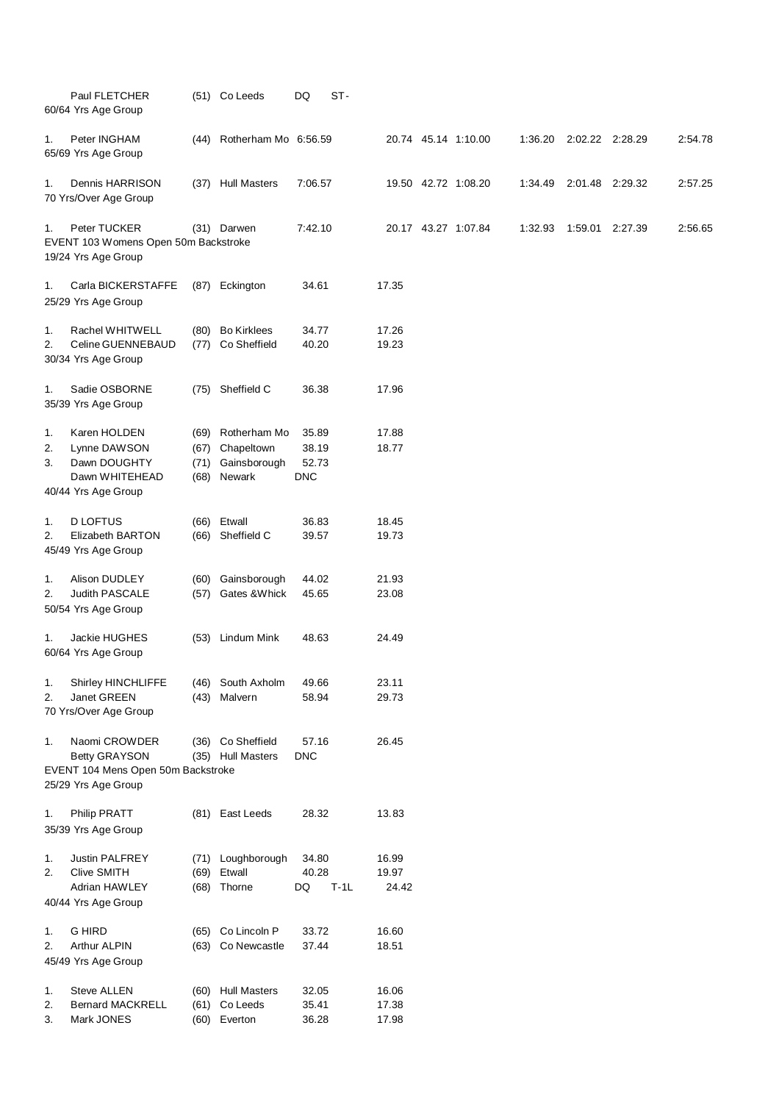|                | Paul FLETCHER<br>60/64 Yrs Age Group                                                  |                      | (51) Co Leeds                                             | DQ                                    | ST-    |                         |                     |         |                 |         |
|----------------|---------------------------------------------------------------------------------------|----------------------|-----------------------------------------------------------|---------------------------------------|--------|-------------------------|---------------------|---------|-----------------|---------|
| 1.             | Peter INGHAM<br>65/69 Yrs Age Group                                                   |                      | (44) Rotherham Mo 6:56.59                                 |                                       |        |                         | 20.74 45.14 1:10.00 | 1:36.20 | 2:02.22 2:28.29 | 2:54.78 |
| 1.             | Dennis HARRISON<br>70 Yrs/Over Age Group                                              |                      | (37) Hull Masters                                         | 7:06.57                               |        |                         | 19.50 42.72 1:08.20 | 1:34.49 | 2:01.48 2:29.32 | 2:57.25 |
| 1.             | Peter TUCKER<br>EVENT 103 Womens Open 50m Backstroke<br>19/24 Yrs Age Group           |                      | (31) Darwen                                               | 7:42.10                               |        |                         | 20.17 43.27 1:07.84 | 1:32.93 | 1:59.01 2:27.39 | 2:56.65 |
| 1.             | Carla BICKERSTAFFE<br>25/29 Yrs Age Group                                             |                      | (87) Eckington                                            | 34.61                                 |        | 17.35                   |                     |         |                 |         |
| 1.<br>2.       | Rachel WHITWELL<br>Celine GUENNEBAUD<br>30/34 Yrs Age Group                           |                      | (80) Bo Kirklees<br>(77) Co Sheffield                     | 34.77<br>40.20                        |        | 17.26<br>19.23          |                     |         |                 |         |
| 1.             | Sadie OSBORNE<br>35/39 Yrs Age Group                                                  |                      | (75) Sheffield C                                          | 36.38                                 |        | 17.96                   |                     |         |                 |         |
| 1.<br>2.<br>3. | Karen HOLDEN<br>Lynne DAWSON<br>Dawn DOUGHTY<br>Dawn WHITEHEAD<br>40/44 Yrs Age Group | (67)<br>(71)<br>(68) | (69) Rotherham Mo<br>Chapeltown<br>Gainsborough<br>Newark | 35.89<br>38.19<br>52.73<br><b>DNC</b> |        | 17.88<br>18.77          |                     |         |                 |         |
| 1.<br>2.       | <b>D LOFTUS</b><br>Elizabeth BARTON<br>45/49 Yrs Age Group                            | (66)                 | (66) Etwall<br>Sheffield C                                | 36.83<br>39.57                        |        | 18.45<br>19.73          |                     |         |                 |         |
| 1.<br>2.       | Alison DUDLEY<br>Judith PASCALE<br>50/54 Yrs Age Group                                | (60)<br>(57)         | Gainsborough<br>Gates & Whick                             | 44.02<br>45.65                        |        | 21.93<br>23.08          |                     |         |                 |         |
| 1.             | Jackie HUGHES<br>60/64 Yrs Age Group                                                  | (53)                 | Lindum Mink                                               | 48.63                                 |        | 24.49                   |                     |         |                 |         |
| 1.<br>2.       | Shirley HINCHLIFFE<br>Janet GREEN<br>70 Yrs/Over Age Group                            | (43)                 | (46) South Axholm<br>Malvern                              | 49.66<br>58.94                        |        | 23.11<br>29.73          |                     |         |                 |         |
| 1.             | Naomi CROWDER<br><b>Betty GRAYSON</b><br>EVENT 104 Mens Open 50m Backstroke           |                      | (36) Co Sheffield<br>(35) Hull Masters                    | 57.16<br><b>DNC</b>                   |        | 26.45                   |                     |         |                 |         |
|                | 25/29 Yrs Age Group                                                                   |                      |                                                           |                                       |        |                         |                     |         |                 |         |
| 1.             | Philip PRATT<br>35/39 Yrs Age Group                                                   |                      | (81) East Leeds                                           | 28.32                                 |        | 13.83                   |                     |         |                 |         |
| 1.<br>2.       | Justin PALFREY<br><b>Clive SMITH</b><br>Adrian HAWLEY<br>40/44 Yrs Age Group          | (69)                 | (71) Loughborough<br>Etwall<br>(68) Thorne                | 34.80<br>40.28<br>DQ                  | $T-1L$ | 16.99<br>19.97<br>24.42 |                     |         |                 |         |
| 1.<br>2.       | <b>G HIRD</b><br>Arthur ALPIN<br>45/49 Yrs Age Group                                  | (65)                 | Co Lincoln P<br>(63) Co Newcastle                         | 33.72<br>37.44                        |        | 16.60<br>18.51          |                     |         |                 |         |
| 1.<br>2.<br>3. | <b>Steve ALLEN</b><br><b>Bernard MACKRELL</b><br>Mark JONES                           | (61)<br>(60)         | (60) Hull Masters<br>Co Leeds<br>Everton                  | 32.05<br>35.41<br>36.28               |        | 16.06<br>17.38<br>17.98 |                     |         |                 |         |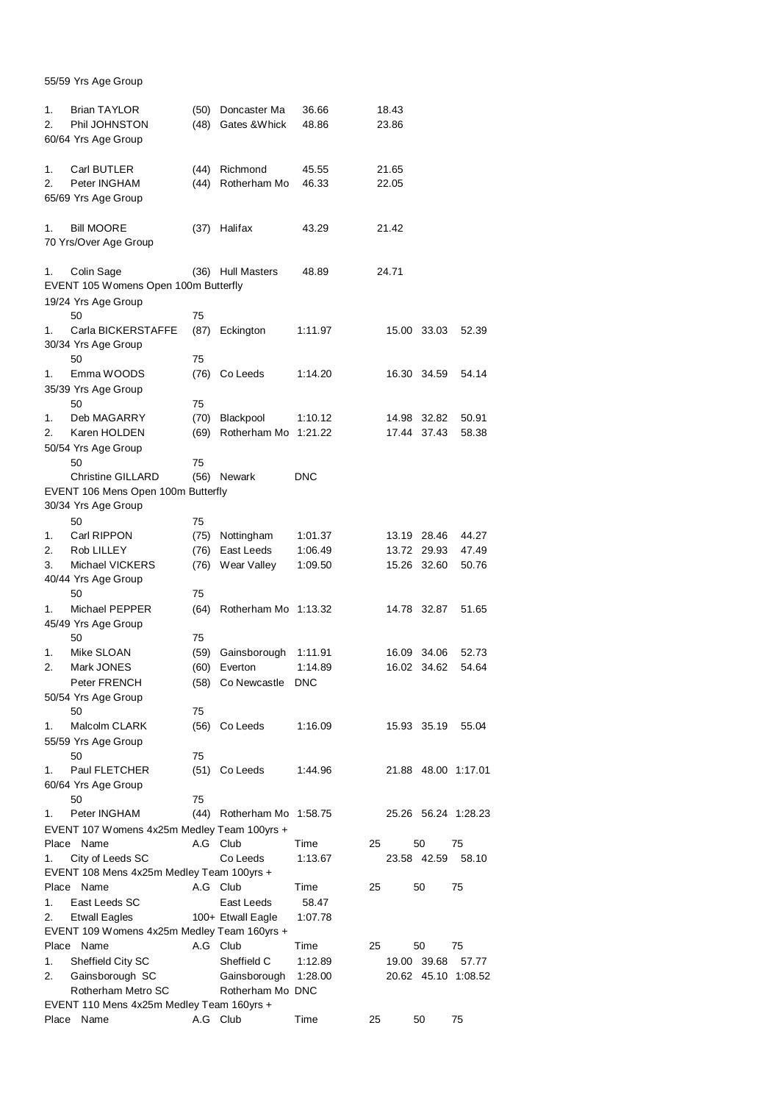55/59 Yrs Age Group

| 1.<br>2. | <b>Brian TAYLOR</b><br>Phil JOHNSTON<br>60/64 Yrs Age Group     | (50)<br>(48) | Doncaster Ma<br>Gates & Whick | 36.66<br>48.86 |    | 18.43<br>23.86 |             |                     |
|----------|-----------------------------------------------------------------|--------------|-------------------------------|----------------|----|----------------|-------------|---------------------|
| 1.<br>2. | Carl BUTLER<br>Peter INGHAM                                     | (44)<br>(44) | Richmond<br>Rotherham Mo      | 45.55<br>46.33 |    | 21.65<br>22.05 |             |                     |
|          | 65/69 Yrs Age Group                                             |              |                               |                |    |                |             |                     |
| 1.       | <b>Bill MOORE</b><br>70 Yrs/Over Age Group                      | (37)         | Halifax                       | 43.29          |    | 21.42          |             |                     |
| 1.       | Colin Sage<br>EVENT 105 Womens Open 100m Butterfly              |              | (36) Hull Masters             | 48.89          |    | 24.71          |             |                     |
|          | 19/24 Yrs Age Group<br>50                                       | 75           |                               |                |    |                |             |                     |
| 1.       | Carla BICKERSTAFFE                                              | (87)         | Eckington                     | 1:11.97        |    |                | 15.00 33.03 | 52.39               |
|          | 30/34 Yrs Age Group                                             |              |                               |                |    |                |             |                     |
|          | 50                                                              | 75           |                               |                |    |                |             |                     |
| 1.       | Emma WOODS                                                      | (76)         | Co Leeds                      | 1:14.20        |    |                | 16.30 34.59 | 54.14               |
|          | 35/39 Yrs Age Group<br>50                                       | 75           |                               |                |    |                |             |                     |
| 1.       | Deb MAGARRY                                                     | (70)         | Blackpool                     | 1:10.12        |    | 14.98          | 32.82       | 50.91               |
| 2.       | Karen HOLDEN                                                    | (69)         | Rotherham Mo                  | 1:21.22        |    | 17.44          | 37.43       | 58.38               |
|          | 50/54 Yrs Age Group                                             |              |                               |                |    |                |             |                     |
|          | 50                                                              | 75           |                               |                |    |                |             |                     |
|          | <b>Christine GILLARD</b>                                        | (56)         | Newark                        | <b>DNC</b>     |    |                |             |                     |
|          | EVENT 106 Mens Open 100m Butterfly                              |              |                               |                |    |                |             |                     |
|          | 30/34 Yrs Age Group<br>50                                       | 75           |                               |                |    |                |             |                     |
| 1.       | Carl RIPPON                                                     | (75)         | Nottingham                    | 1:01.37        |    |                | 13.19 28.46 | 44.27               |
| 2.       | Rob LILLEY                                                      | (76)         | East Leeds                    | 1:06.49        |    | 13.72          | 29.93       | 47.49               |
| 3.       | Michael VICKERS                                                 | (76)         | Wear Valley                   | 1:09.50        |    |                | 15.26 32.60 | 50.76               |
|          | 40/44 Yrs Age Group                                             |              |                               |                |    |                |             |                     |
|          | 50                                                              | 75           |                               |                |    |                |             |                     |
| 1.       | Michael PEPPER                                                  | (64)         | Rotherham Mo 1:13.32          |                |    |                | 14.78 32.87 | 51.65               |
|          | 45/49 Yrs Age Group<br>50                                       |              |                               |                |    |                |             |                     |
| 1.       | Mike SLOAN                                                      | 75<br>(59)   | Gainsborough                  | 1:11.91        |    | 16.09          | 34.06       | 52.73               |
| 2.       | Mark JONES                                                      | (60)         | Everton                       | 1:14.89        |    |                | 16.02 34.62 | 54.64               |
|          | Peter FRENCH                                                    | (58)         | Co Newcastle                  | <b>DNC</b>     |    |                |             |                     |
|          | 50/54 Yrs Age Group                                             |              |                               |                |    |                |             |                     |
|          | 50                                                              | 75           |                               |                |    |                |             |                     |
| 1.       | Malcolm CLARK                                                   |              | (56) Co Leeds                 | 1:16.09        |    |                | 15.93 35.19 | 55.04               |
|          | 55/59 Yrs Age Group                                             |              |                               |                |    |                |             |                     |
| 1.       | 50<br>Paul FLETCHER                                             | 75           | $(51)$ Co Leeds               | 1:44.96        |    |                |             | 21.88 48.00 1:17.01 |
|          | 60/64 Yrs Age Group                                             |              |                               |                |    |                |             |                     |
|          | 50                                                              | 75           |                               |                |    |                |             |                     |
| 1.       | Peter INGHAM                                                    |              | (44) Rotherham Mo 1:58.75     |                |    |                |             | 25.26 56.24 1:28.23 |
|          | EVENT 107 Womens 4x25m Medley Team 100yrs +                     |              |                               |                |    |                |             |                     |
|          | Place Name                                                      | A.G Club     |                               | Time           | 25 |                | 50          | 75                  |
| 1.       | City of Leeds SC                                                |              | Co Leeds                      | 1:13.67        |    |                | 23.58 42.59 | 58.10               |
|          | EVENT 108 Mens 4x25m Medley Team 100yrs +<br>Place Name         | A.G Club     |                               | Time           | 25 |                | 50          | 75                  |
| 1.       | East Leeds SC                                                   |              | East Leeds                    | 58.47          |    |                |             |                     |
| 2.       | <b>Etwall Eagles</b>                                            |              | 100+ Etwall Eagle             | 1:07.78        |    |                |             |                     |
|          | EVENT 109 Womens 4x25m Medley Team 160yrs +                     |              |                               |                |    |                |             |                     |
|          | Place Name                                                      | A.G Club     |                               | Time           | 25 |                | 50          | 75                  |
| 1.       | Sheffield City SC                                               |              | Sheffield C                   | 1:12.89        |    |                | 19.00 39.68 | 57.77               |
| 2.       | Gainsborough SC                                                 |              | Gainsborough                  | 1:28.00        |    |                |             | 20.62 45.10 1:08.52 |
|          | Rotherham Metro SC<br>EVENT 110 Mens 4x25m Medley Team 160yrs + |              | Rotherham Mo DNC              |                |    |                |             |                     |
| Place    | Name                                                            | A.G Club     |                               | Time           | 25 |                | 50          | 75                  |
|          |                                                                 |              |                               |                |    |                |             |                     |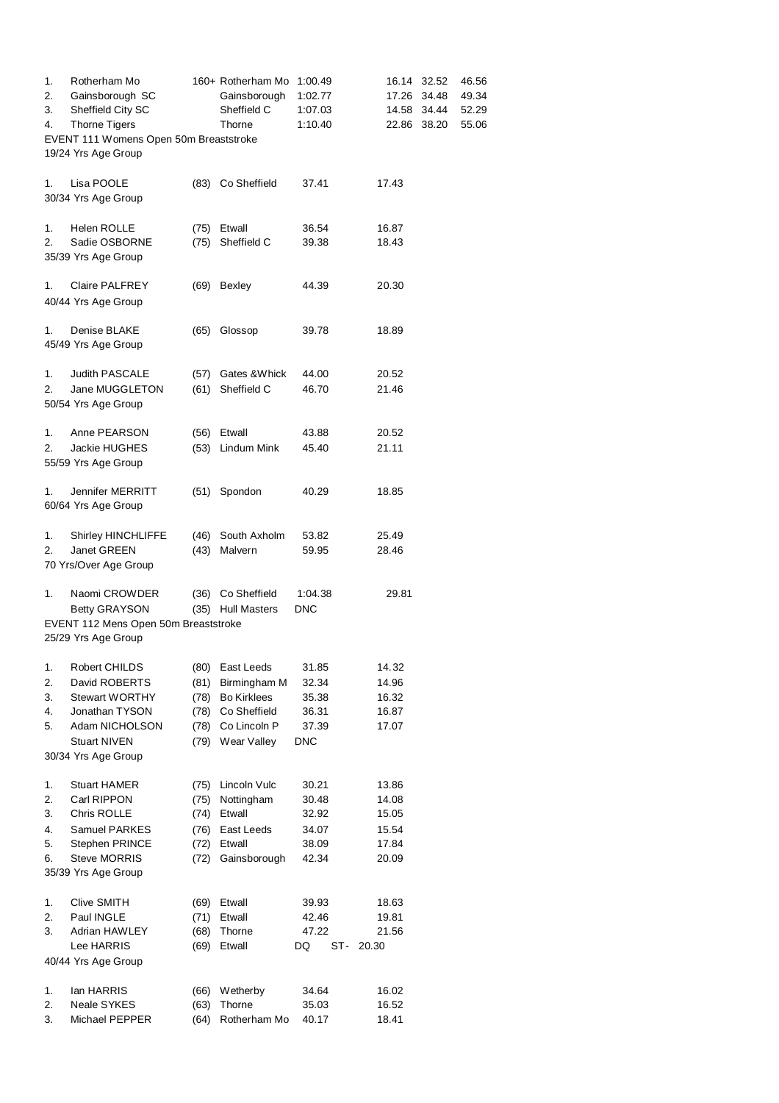| 1.<br>2.<br>3. | Rotherham Mo<br>Gainsborough SC<br>Sheffield City SC                                  |              | 160+ Rotherham Mo<br>Gainsborough<br>Sheffield C | 1:00.49<br>1:02.77<br>1:07.03 | 16.14<br>17.26<br>14.58 | 32.52<br>34.48<br>34.44 | 46.56<br>49.34<br>52.29 |
|----------------|---------------------------------------------------------------------------------------|--------------|--------------------------------------------------|-------------------------------|-------------------------|-------------------------|-------------------------|
| 4.             | <b>Thorne Tigers</b><br>EVENT 111 Womens Open 50m Breaststroke<br>19/24 Yrs Age Group |              | Thorne                                           | 1:10.40                       | 22.86                   | 38.20                   | 55.06                   |
| 1.             | Lisa POOLE<br>30/34 Yrs Age Group                                                     |              | (83) Co Sheffield                                | 37.41                         | 17.43                   |                         |                         |
| 1.             | <b>Helen ROLLE</b>                                                                    | (75)         | Etwall                                           | 36.54                         | 16.87                   |                         |                         |
| 2.             | Sadie OSBORNE<br>35/39 Yrs Age Group                                                  | (75)         | Sheffield C                                      | 39.38                         | 18.43                   |                         |                         |
| 1.             | <b>Claire PALFREY</b><br>40/44 Yrs Age Group                                          | (69)         | <b>Bexley</b>                                    | 44.39                         | 20.30                   |                         |                         |
| 1.             | Denise BLAKE<br>45/49 Yrs Age Group                                                   | (65)         | Glossop                                          | 39.78                         | 18.89                   |                         |                         |
| 1.             | <b>Judith PASCALE</b>                                                                 | (57)         | Gates & Whick                                    | 44.00                         | 20.52                   |                         |                         |
| 2.             | Jane MUGGLETON<br>50/54 Yrs Age Group                                                 | (61)         | Sheffield C                                      | 46.70                         | 21.46                   |                         |                         |
| 1.             | Anne PEARSON                                                                          | (56)         | Etwall                                           | 43.88                         | 20.52                   |                         |                         |
| 2.             | Jackie HUGHES<br>55/59 Yrs Age Group                                                  | (53)         | Lindum Mink                                      | 45.40                         | 21.11                   |                         |                         |
| 1.             | Jennifer MERRITT<br>60/64 Yrs Age Group                                               | (51)         | Spondon                                          | 40.29                         | 18.85                   |                         |                         |
| 1.             | <b>Shirley HINCHLIFFE</b>                                                             | (46)         | South Axholm                                     | 53.82                         | 25.49                   |                         |                         |
| 2.             | Janet GREEN<br>70 Yrs/Over Age Group                                                  | (43)         | Malvern                                          | 59.95                         | 28.46                   |                         |                         |
| 1.             | Naomi CROWDER                                                                         | (36)         | Co Sheffield                                     | 1:04.38                       | 29.81                   |                         |                         |
|                | <b>Betty GRAYSON</b>                                                                  |              | (35) Hull Masters                                | <b>DNC</b>                    |                         |                         |                         |
|                | EVENT 112 Mens Open 50m Breaststroke<br>25/29 Yrs Age Group                           |              |                                                  |                               |                         |                         |                         |
| 1.             | Robert CHILDS                                                                         | (80)         | East Leeds                                       | 31.85                         | 14.32                   |                         |                         |
| 2.             | David ROBERTS                                                                         | (81)         | Birmingham M                                     | 32.34                         | 14.96                   |                         |                         |
| 3.<br>4.       | Stewart WORTHY<br>Jonathan TYSON                                                      | (78)<br>(78) | <b>Bo Kirklees</b><br>Co Sheffield               | 35.38<br>36.31                | 16.32<br>16.87          |                         |                         |
| 5.             | Adam NICHOLSON                                                                        | (78)         | Co Lincoln P                                     | 37.39                         | 17.07                   |                         |                         |
|                | <b>Stuart NIVEN</b>                                                                   | (79)         | Wear Valley                                      | <b>DNC</b>                    |                         |                         |                         |
|                | 30/34 Yrs Age Group                                                                   |              |                                                  |                               |                         |                         |                         |
| 1.             | Stuart HAMER                                                                          | (75)         | Lincoln Vulc                                     | 30.21                         | 13.86                   |                         |                         |
| 2.             | Carl RIPPON                                                                           | (75)         | Nottingham                                       | 30.48                         | 14.08                   |                         |                         |
| 3.             | Chris ROLLE                                                                           | (74)         | Etwall                                           | 32.92                         | 15.05                   |                         |                         |
| 4.             | Samuel PARKES                                                                         | (76)         | East Leeds                                       | 34.07                         | 15.54                   |                         |                         |
| 5.<br>6.       | Stephen PRINCE<br><b>Steve MORRIS</b>                                                 | (72)<br>(72) | Etwall<br>Gainsborough                           | 38.09                         | 17.84                   |                         |                         |
|                | 35/39 Yrs Age Group                                                                   |              |                                                  | 42.34                         | 20.09                   |                         |                         |
| 1.             | Clive SMITH                                                                           | (69)         | Etwall                                           | 39.93                         | 18.63                   |                         |                         |
| 2.             | Paul INGLE                                                                            | (71)         | Etwall                                           | 42.46                         | 19.81                   |                         |                         |
| 3.             | Adrian HAWLEY                                                                         | (68)         | Thorne                                           | 47.22                         | 21.56                   |                         |                         |
|                | Lee HARRIS<br>40/44 Yrs Age Group                                                     | (69)         | Etwall                                           | DQ<br>ST-                     | 20.30                   |                         |                         |
| 1.             | lan HARRIS                                                                            | (66)         | Wetherby                                         | 34.64                         | 16.02                   |                         |                         |
| 2.             | Neale SYKES                                                                           | (63)         | Thorne                                           | 35.03                         | 16.52                   |                         |                         |
| 3.             | Michael PEPPER                                                                        | (64)         | Rotherham Mo                                     | 40.17                         | 18.41                   |                         |                         |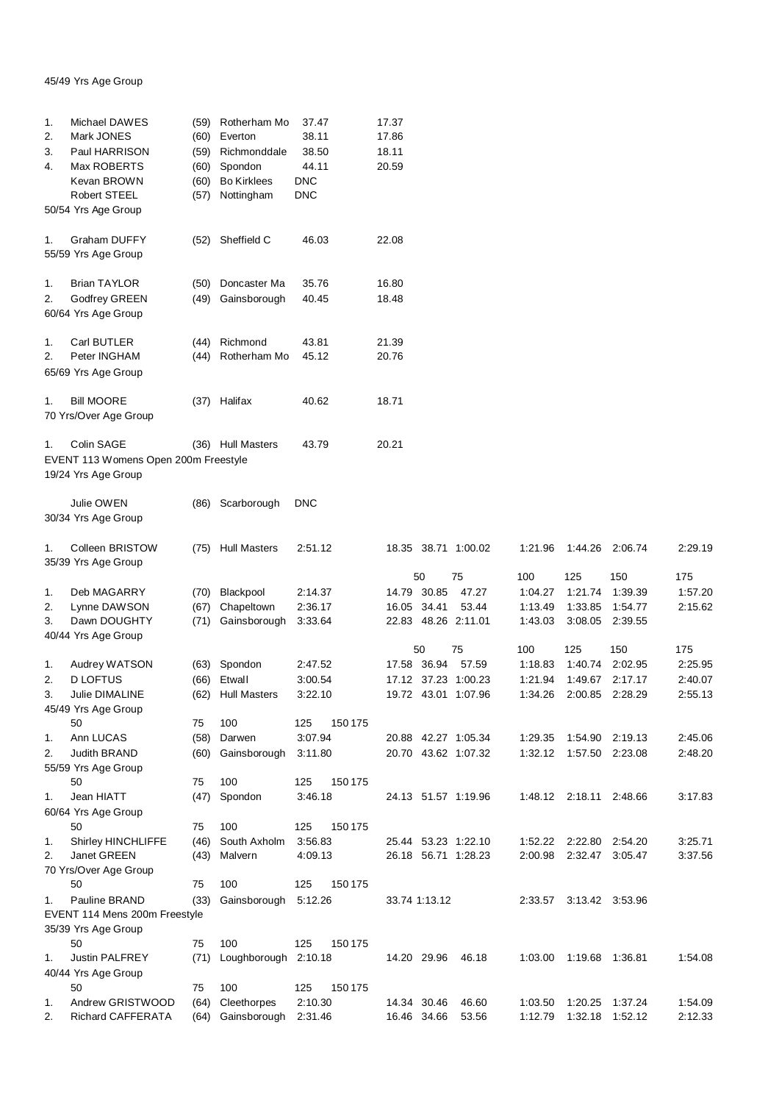## 45/49 Yrs Age Group

| 1.<br>2. | Michael DAWES<br>Mark JONES                          | (60) | (59) Rotherham Mo<br>Everton | 37.47<br>38.11 | 17.37<br>17.86                   |                |                           |                |                |
|----------|------------------------------------------------------|------|------------------------------|----------------|----------------------------------|----------------|---------------------------|----------------|----------------|
| 3.       | Paul HARRISON                                        | (59) | Richmonddale                 | 38.50          | 18.11                            |                |                           |                |                |
| 4.       | Max ROBERTS                                          | (60) | Spondon                      | 44.11          | 20.59                            |                |                           |                |                |
|          | Kevan BROWN                                          | (60) | <b>Bo Kirklees</b>           | <b>DNC</b>     |                                  |                |                           |                |                |
|          | Robert STEEL                                         | (57) | Nottingham                   | <b>DNC</b>     |                                  |                |                           |                |                |
|          | 50/54 Yrs Age Group                                  |      |                              |                |                                  |                |                           |                |                |
| 1.       | Graham DUFFY<br>55/59 Yrs Age Group                  | (52) | Sheffield C                  | 46.03          | 22.08                            |                |                           |                |                |
| 1.       | <b>Brian TAYLOR</b>                                  | (50) | Doncaster Ma                 | 35.76          | 16.80                            |                |                           |                |                |
| 2.       | Godfrey GREEN<br>60/64 Yrs Age Group                 | (49) | Gainsborough                 | 40.45          | 18.48                            |                |                           |                |                |
| 1.       | Carl BUTLER                                          |      | (44) Richmond                | 43.81          | 21.39                            |                |                           |                |                |
| 2.       | Peter INGHAM                                         |      | (44) Rotherham Mo            | 45.12          | 20.76                            |                |                           |                |                |
|          | 65/69 Yrs Age Group                                  |      |                              |                |                                  |                |                           |                |                |
| 1.       | Bill MOORE<br>70 Yrs/Over Age Group                  |      | (37) Halifax                 | 40.62          | 18.71                            |                |                           |                |                |
| 1.       | Colin SAGE<br>EVENT 113 Womens Open 200m Freestyle   |      | (36) Hull Masters            | 43.79          | 20.21                            |                |                           |                |                |
|          | 19/24 Yrs Age Group                                  |      |                              |                |                                  |                |                           |                |                |
|          | Julie OWEN<br>30/34 Yrs Age Group                    |      | (86) Scarborough             | <b>DNC</b>     |                                  |                |                           |                |                |
| 1.       | Colleen BRISTOW<br>35/39 Yrs Age Group               |      | (75) Hull Masters            | 2:51.12        | 18.35 38.71 1:00.02              | 1:21.96        | 1:44.26 2:06.74           |                | 2:29.19        |
|          |                                                      |      |                              |                | 50<br>75                         | 100            | 125                       | 150            | 175            |
| 1.       | Deb MAGARRY                                          | (70) | Blackpool                    | 2:14.37        | 14.79 30.85<br>47.27             | 1:04.27        | 1:21.74                   | 1:39.39        | 1:57.20        |
| 2.       | Lynne DAWSON                                         | (67) | Chapeltown                   | 2:36.17        | 16.05 34.41<br>53.44             | 1:13.49        | 1:33.85                   | 1:54.77        | 2:15.62        |
| 3.       | Dawn DOUGHTY<br>40/44 Yrs Age Group                  | (71) | Gainsborough                 | 3:33.64        | 22.83 48.26 2:11.01              | 1:43.03        | 3:08.05                   | 2:39.55        |                |
| 1.       | Audrey WATSON                                        | (63) | Spondon                      | 2:47.52        | 75<br>50<br>17.58 36.94<br>57.59 | 100<br>1:18.83 | 125<br>1:40.74            | 150<br>2:02.95 | 175<br>2:25.95 |
| 2.       | <b>D LOFTUS</b>                                      | (66) | Etwall                       | 3:00.54        | 17.12 37.23 1:00.23              | 1:21.94        | 1:49.67                   | 2:17.17        | 2:40.07        |
| 3.       | Julie DIMALINE<br>45/49 Yrs Age Group                | (62) | <b>Hull Masters</b>          | 3:22.10        | 19.72 43.01 1:07.96              | 1:34.26        | 2:00.85                   | 2:28.29        | 2:55.13        |
|          | 50                                                   | 75   | 100                          | 125<br>150 175 |                                  |                |                           |                |                |
| 1.       | Ann LUCAS                                            | (58) | Darwen                       | 3:07.94        | 20.88 42.27 1:05.34              | 1:29.35        | 1:54.90 2:19.13           |                | 2:45.06        |
| 2.       | Judith BRAND<br>55/59 Yrs Age Group                  | (60) | Gainsborough                 | 3:11.80        | 20.70 43.62 1:07.32              |                | 1:32.12  1:57.50  2:23.08 |                | 2:48.20        |
|          | 50                                                   | 75   | 100                          | 150 175<br>125 |                                  |                |                           |                |                |
| 1.       | Jean HIATT                                           | (47) | Spondon                      | 3:46.18        | 24.13 51.57 1:19.96              |                | 1:48.12  2:18.11  2:48.66 |                | 3:17.83        |
|          | 60/64 Yrs Age Group<br>50                            | 75   | 100                          | 125<br>150 175 |                                  |                |                           |                |                |
| 1.       | <b>Shirley HINCHLIFFE</b>                            | (46) | South Axholm                 | 3:56.83        | 25.44 53.23 1:22.10              |                | 1:52.22 2:22.80 2:54.20   |                | 3:25.71        |
| 2.       | Janet GREEN                                          | (43) | Malvern                      | 4:09.13        | 26.18 56.71 1:28.23              | 2:00.98        | 2:32.47 3:05.47           |                | 3:37.56        |
|          | 70 Yrs/Over Age Group                                |      |                              |                |                                  |                |                           |                |                |
|          | 50                                                   | 75   | 100                          | 125<br>150 175 |                                  |                |                           |                |                |
| 1.       | Pauline BRAND                                        | (33) | Gainsborough                 | 5:12.26        | 33.74 1:13.12                    |                | 2:33.57 3:13.42 3:53.96   |                |                |
|          | EVENT 114 Mens 200m Freestyle<br>35/39 Yrs Age Group |      |                              |                |                                  |                |                           |                |                |
|          | 50                                                   | 75   | 100                          | 125<br>150 175 |                                  |                |                           |                |                |
| 1.       | <b>Justin PALFREY</b>                                | (71) | Loughborough 2:10.18         |                | 14.20 29.96<br>46.18             | 1:03.00        | 1:19.68  1:36.81          |                | 1:54.08        |
|          | 40/44 Yrs Age Group<br>50                            | 75   | 100                          | 125<br>150 175 |                                  |                |                           |                |                |
| 1.       | Andrew GRISTWOOD                                     | (64) | Cleethorpes                  | 2:10.30        | 14.34 30.46<br>46.60             | 1:03.50        | 1:20.25                   | 1:37.24        | 1:54.09        |
| 2.       | Richard CAFFERATA                                    | (64) | Gainsborough                 | 2:31.46        | 53.56<br>16.46 34.66             | 1:12.79        | 1:32.18 1:52.12           |                | 2:12.33        |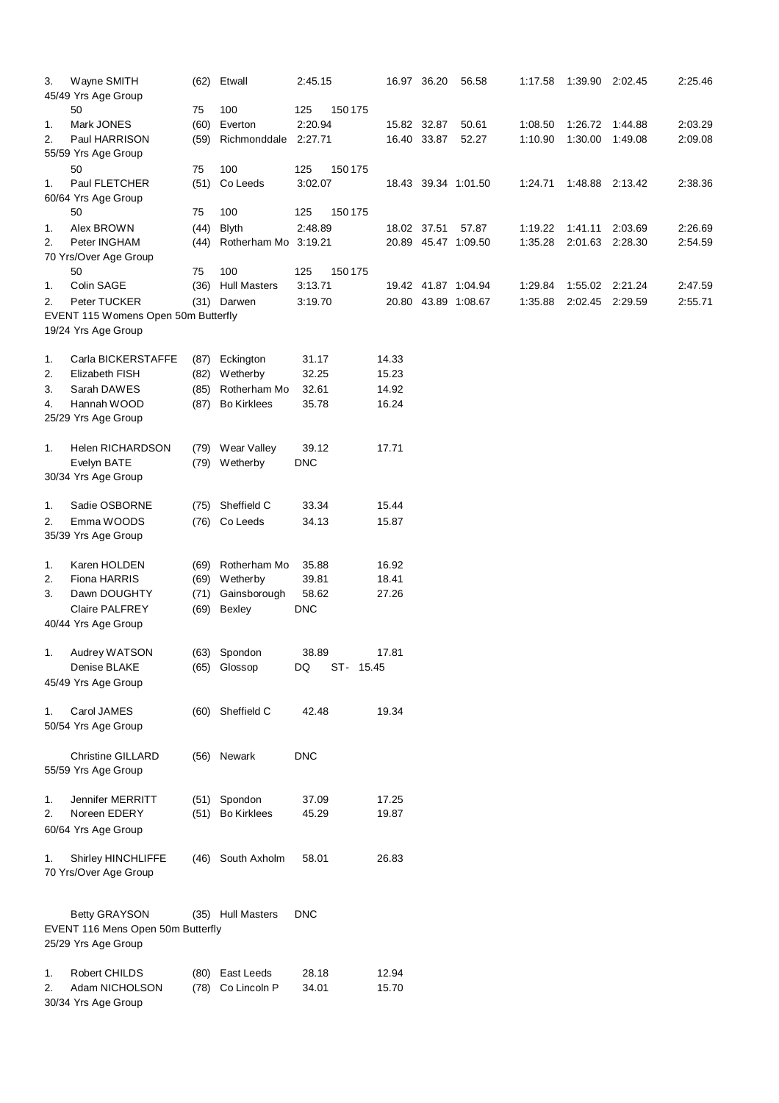| 3. | Wayne SMITH                         |      | (62) Etwall          | 2:45.15    |           |             | 16.97 36.20 | 56.58               | 1:17.58 | 1:39.90         | 2:02.45 | 2:25.46 |
|----|-------------------------------------|------|----------------------|------------|-----------|-------------|-------------|---------------------|---------|-----------------|---------|---------|
|    | 45/49 Yrs Age Group                 |      |                      |            |           |             |             |                     |         |                 |         |         |
|    | 50                                  | 75   | 100                  | 125        | 150 175   |             |             |                     |         |                 |         |         |
| 1. | Mark JONES                          | (60) | Everton              | 2:20.94    |           | 15.82 32.87 |             | 50.61               | 1:08.50 | 1:26.72 1:44.88 |         | 2:03.29 |
| 2. | Paul HARRISON                       | (59) | Richmonddale         | 2:27.71    |           |             | 16.40 33.87 | 52.27               | 1:10.90 | 1:30.00         | 1:49.08 | 2:09.08 |
|    | 55/59 Yrs Age Group                 |      |                      |            |           |             |             |                     |         |                 |         |         |
|    | 50                                  | 75   | 100                  | 125        | 150 175   |             |             |                     |         |                 |         |         |
| 1. | Paul FLETCHER                       | (51) | Co Leeds             | 3:02.07    |           |             |             | 18.43 39.34 1:01.50 | 1:24.71 | 1:48.88 2:13.42 |         | 2:38.36 |
|    | 60/64 Yrs Age Group                 |      |                      |            |           |             |             |                     |         |                 |         |         |
|    | 50                                  | 75   | 100                  | 125        | 150 175   |             |             |                     |         |                 |         |         |
| 1. | Alex BROWN                          | (44) | <b>Blyth</b>         | 2:48.89    |           | 18.02 37.51 |             | 57.87               | 1:19.22 | 1:41.11         | 2:03.69 | 2:26.69 |
| 2. | Peter INGHAM                        | (44) | Rotherham Mo 3:19.21 |            |           |             |             | 20.89 45.47 1:09.50 | 1:35.28 | 2:01.63         | 2:28.30 | 2:54.59 |
|    | 70 Yrs/Over Age Group               |      |                      |            |           |             |             |                     |         |                 |         |         |
|    | 50                                  | 75   | 100                  | 125        | 150 175   |             |             |                     |         |                 |         |         |
| 1. | Colin SAGE                          |      | (36) Hull Masters    | 3:13.71    |           |             |             | 19.42 41.87 1:04.94 | 1:29.84 | 1:55.02 2:21.24 |         | 2:47.59 |
| 2. | Peter TUCKER                        |      | (31) Darwen          | 3:19.70    |           |             |             | 20.80 43.89 1:08.67 | 1:35.88 | 2:02.45 2:29.59 |         | 2:55.71 |
|    | EVENT 115 Womens Open 50m Butterfly |      |                      |            |           |             |             |                     |         |                 |         |         |
|    | 19/24 Yrs Age Group                 |      |                      |            |           |             |             |                     |         |                 |         |         |
|    |                                     |      |                      |            |           |             |             |                     |         |                 |         |         |
| 1. | Carla BICKERSTAFFE                  |      | (87) Eckington       | 31.17      |           | 14.33       |             |                     |         |                 |         |         |
| 2. | Elizabeth FISH                      |      | (82) Wetherby        | 32.25      |           | 15.23       |             |                     |         |                 |         |         |
| 3. | Sarah DAWES                         | (85) | Rotherham Mo         | 32.61      |           | 14.92       |             |                     |         |                 |         |         |
| 4. | Hannah WOOD                         | (87) | <b>Bo Kirklees</b>   | 35.78      |           | 16.24       |             |                     |         |                 |         |         |
|    | 25/29 Yrs Age Group                 |      |                      |            |           |             |             |                     |         |                 |         |         |
| 1. | <b>Helen RICHARDSON</b>             |      | (79) Wear Valley     | 39.12      |           | 17.71       |             |                     |         |                 |         |         |
|    | Evelyn BATE                         |      | (79) Wetherby        | <b>DNC</b> |           |             |             |                     |         |                 |         |         |
|    | 30/34 Yrs Age Group                 |      |                      |            |           |             |             |                     |         |                 |         |         |
|    |                                     |      |                      |            |           |             |             |                     |         |                 |         |         |
| 1. | Sadie OSBORNE                       |      | (75) Sheffield C     | 33.34      |           | 15.44       |             |                     |         |                 |         |         |
| 2. | Emma WOODS                          |      | (76) Co Leeds        | 34.13      |           | 15.87       |             |                     |         |                 |         |         |
|    | 35/39 Yrs Age Group                 |      |                      |            |           |             |             |                     |         |                 |         |         |
|    |                                     |      |                      |            |           |             |             |                     |         |                 |         |         |
| 1. | Karen HOLDEN                        |      | (69) Rotherham Mo    | 35.88      |           | 16.92       |             |                     |         |                 |         |         |
| 2. | Fiona HARRIS                        |      | (69) Wetherby        | 39.81      |           | 18.41       |             |                     |         |                 |         |         |
| 3. | Dawn DOUGHTY                        |      | (71) Gainsborough    | 58.62      |           | 27.26       |             |                     |         |                 |         |         |
|    | <b>Claire PALFREY</b>               | (69) | Bexley               | <b>DNC</b> |           |             |             |                     |         |                 |         |         |
|    | 40/44 Yrs Age Group                 |      |                      |            |           |             |             |                     |         |                 |         |         |
|    |                                     |      |                      |            |           |             |             |                     |         |                 |         |         |
| 1. | Audrey WATSON                       |      | (63) Spondon         | 38.89      |           | 17.81       |             |                     |         |                 |         |         |
|    | Denise BLAKE                        |      | (65) Glossop         | DQ         | ST- 15.45 |             |             |                     |         |                 |         |         |
|    | 45/49 Yrs Age Group                 |      |                      |            |           |             |             |                     |         |                 |         |         |
|    |                                     |      |                      |            |           |             |             |                     |         |                 |         |         |
| 1. | Carol JAMES                         |      | (60) Sheffield C     | 42.48      |           | 19.34       |             |                     |         |                 |         |         |
|    | 50/54 Yrs Age Group                 |      |                      |            |           |             |             |                     |         |                 |         |         |
|    |                                     |      |                      |            |           |             |             |                     |         |                 |         |         |
|    | <b>Christine GILLARD</b>            |      | (56) Newark          | <b>DNC</b> |           |             |             |                     |         |                 |         |         |
|    | 55/59 Yrs Age Group                 |      |                      |            |           |             |             |                     |         |                 |         |         |
|    |                                     |      |                      |            |           |             |             |                     |         |                 |         |         |
| 1. | Jennifer MERRITT                    |      | (51) Spondon         | 37.09      |           | 17.25       |             |                     |         |                 |         |         |
| 2. | Noreen EDERY                        |      | (51) Bo Kirklees     | 45.29      |           | 19.87       |             |                     |         |                 |         |         |
|    | 60/64 Yrs Age Group                 |      |                      |            |           |             |             |                     |         |                 |         |         |
| 1. | Shirley HINCHLIFFE                  | (46) | South Axholm         | 58.01      |           | 26.83       |             |                     |         |                 |         |         |
|    |                                     |      |                      |            |           |             |             |                     |         |                 |         |         |
|    | 70 Yrs/Over Age Group               |      |                      |            |           |             |             |                     |         |                 |         |         |
|    |                                     |      |                      |            |           |             |             |                     |         |                 |         |         |
|    | <b>Betty GRAYSON</b>                |      | (35) Hull Masters    | <b>DNC</b> |           |             |             |                     |         |                 |         |         |
|    | EVENT 116 Mens Open 50m Butterfly   |      |                      |            |           |             |             |                     |         |                 |         |         |
|    | 25/29 Yrs Age Group                 |      |                      |            |           |             |             |                     |         |                 |         |         |
|    |                                     |      |                      |            |           |             |             |                     |         |                 |         |         |
| 1. | <b>Robert CHILDS</b>                |      | (80) East Leeds      | 28.18      |           | 12.94       |             |                     |         |                 |         |         |
| 2. | Adam NICHOLSON                      |      | (78) Co Lincoln P    | 34.01      |           | 15.70       |             |                     |         |                 |         |         |
|    | 30/34 Yrs Age Group                 |      |                      |            |           |             |             |                     |         |                 |         |         |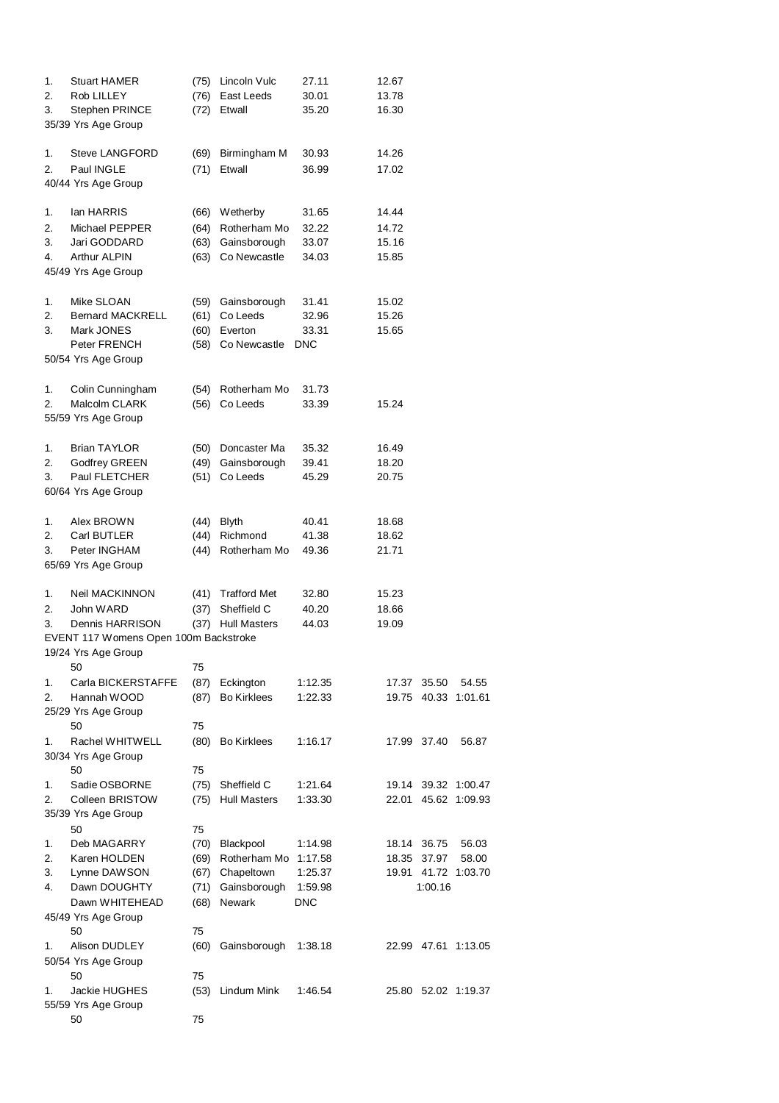| 1. | <b>Stuart HAMER</b>                   | (75) | Lincoln Vulc        | 27.11      | 12.67 |             |                     |
|----|---------------------------------------|------|---------------------|------------|-------|-------------|---------------------|
| 2. | Rob LILLEY                            | (76) | East Leeds          | 30.01      | 13.78 |             |                     |
| 3. | Stephen PRINCE                        | (72) | Etwall              | 35.20      | 16.30 |             |                     |
|    | 35/39 Yrs Age Group                   |      |                     |            |       |             |                     |
|    |                                       |      |                     |            |       |             |                     |
| 1. | <b>Steve LANGFORD</b>                 | (69) | Birmingham M        | 30.93      | 14.26 |             |                     |
| 2. | Paul INGLE                            | (71) | Etwall              | 36.99      | 17.02 |             |                     |
|    | 40/44 Yrs Age Group                   |      |                     |            |       |             |                     |
|    |                                       |      |                     |            |       |             |                     |
| 1. | lan HARRIS                            | (66) | Wetherby            | 31.65      | 14.44 |             |                     |
| 2. | Michael PEPPER                        | (64) | Rotherham Mo        | 32.22      | 14.72 |             |                     |
| 3. | Jari GODDARD                          | (63) | Gainsborough        | 33.07      | 15.16 |             |                     |
| 4. | <b>Arthur ALPIN</b>                   | (63) | Co Newcastle        | 34.03      | 15.85 |             |                     |
|    | 45/49 Yrs Age Group                   |      |                     |            |       |             |                     |
|    |                                       |      |                     |            |       |             |                     |
| 1. | Mike SLOAN                            | (59) | Gainsborough        | 31.41      | 15.02 |             |                     |
| 2. | <b>Bernard MACKRELL</b>               | (61) | Co Leeds            | 32.96      | 15.26 |             |                     |
| 3. | Mark JONES                            | (60) | Everton             | 33.31      | 15.65 |             |                     |
|    | Peter FRENCH                          | (58) | Co Newcastle        | <b>DNC</b> |       |             |                     |
|    | 50/54 Yrs Age Group                   |      |                     |            |       |             |                     |
|    |                                       |      |                     |            |       |             |                     |
| 1. | Colin Cunningham                      |      | Rotherham Mo        | 31.73      |       |             |                     |
| 2. | Malcolm CLARK                         | (54) | Co Leeds            |            |       |             |                     |
|    |                                       | (56) |                     | 33.39      | 15.24 |             |                     |
|    | 55/59 Yrs Age Group                   |      |                     |            |       |             |                     |
|    |                                       |      |                     |            |       |             |                     |
| 1. | <b>Brian TAYLOR</b>                   | (50) | Doncaster Ma        | 35.32      | 16.49 |             |                     |
| 2. | <b>Godfrey GREEN</b>                  | (49) | Gainsborough        | 39.41      | 18.20 |             |                     |
| 3. | Paul FLETCHER                         | (51) | Co Leeds            | 45.29      | 20.75 |             |                     |
|    | 60/64 Yrs Age Group                   |      |                     |            |       |             |                     |
|    |                                       |      |                     |            |       |             |                     |
| 1. | Alex BROWN                            | (44) | <b>Blyth</b>        | 40.41      | 18.68 |             |                     |
| 2. | Carl BUTLER                           | (44) | Richmond            | 41.38      | 18.62 |             |                     |
| 3. | Peter INGHAM                          | (44) | Rotherham Mo        | 49.36      | 21.71 |             |                     |
|    | 65/69 Yrs Age Group                   |      |                     |            |       |             |                     |
|    |                                       |      |                     |            |       |             |                     |
| 1. | Neil MACKINNON                        | (41) | <b>Trafford Met</b> | 32.80      | 15.23 |             |                     |
| 2. | John WARD                             | (37) | Sheffield C         | 40.20      | 18.66 |             |                     |
| 3. | Dennis HARRISON                       | (37) | <b>Hull Masters</b> | 44.03      | 19.09 |             |                     |
|    | EVENT 117 Womens Open 100m Backstroke |      |                     |            |       |             |                     |
|    | 19/24 Yrs Age Group                   |      |                     |            |       |             |                     |
|    | 50                                    | 75   |                     |            |       |             |                     |
| 1. | Carla BICKERSTAFFE                    | (87) | Eckington           | 1:12.35    | 17.37 | 35.50       | 54.55               |
| 2. | Hannah WOOD                           | (87) | <b>Bo Kirklees</b>  | 1:22.33    | 19.75 |             | 40.33 1:01.61       |
|    | 25/29 Yrs Age Group                   |      |                     |            |       |             |                     |
|    | 50                                    | 75   |                     |            |       |             |                     |
| 1. | Rachel WHITWELL                       | (80) | <b>Bo Kirklees</b>  | 1:16.17    |       | 17.99 37.40 | 56.87               |
|    | 30/34 Yrs Age Group                   |      |                     |            |       |             |                     |
|    | 50                                    | 75   |                     |            |       |             |                     |
| 1. | Sadie OSBORNE                         | (75) | Sheffield C         | 1:21.64    |       |             | 19.14 39.32 1:00.47 |
| 2. | Colleen BRISTOW                       | (75) | <b>Hull Masters</b> | 1:33.30    | 22.01 |             | 45.62 1:09.93       |
|    | 35/39 Yrs Age Group                   |      |                     |            |       |             |                     |
|    | 50                                    | 75   |                     |            |       |             |                     |
| 1. | Deb MAGARRY                           | (70) | Blackpool           | 1:14.98    |       | 18.14 36.75 | 56.03               |
| 2. | Karen HOLDEN                          | (69) | Rotherham Mo        | 1:17.58    | 18.35 | 37.97       | 58.00               |
| 3. | Lynne DAWSON                          | (67) | Chapeltown          | 1:25.37    |       |             | 19.91 41.72 1:03.70 |
| 4. | Dawn DOUGHTY                          | (71) | Gainsborough        | 1:59.98    |       | 1:00.16     |                     |
|    |                                       |      |                     |            |       |             |                     |
|    | Dawn WHITEHEAD                        | (68) | Newark              | <b>DNC</b> |       |             |                     |
|    | 45/49 Yrs Age Group                   |      |                     |            |       |             |                     |
|    | 50                                    | 75   |                     |            |       |             |                     |
| 1. | Alison DUDLEY                         | (60) | Gainsborough        | 1:38.18    |       |             | 22.99 47.61 1:13.05 |
|    | 50/54 Yrs Age Group                   |      |                     |            |       |             |                     |
|    | 50                                    | 75   |                     |            |       |             |                     |
| 1. | Jackie HUGHES                         | (53) | Lindum Mink         | 1:46.54    |       |             | 25.80 52.02 1:19.37 |
|    | 55/59 Yrs Age Group                   |      |                     |            |       |             |                     |
|    | 50                                    | 75   |                     |            |       |             |                     |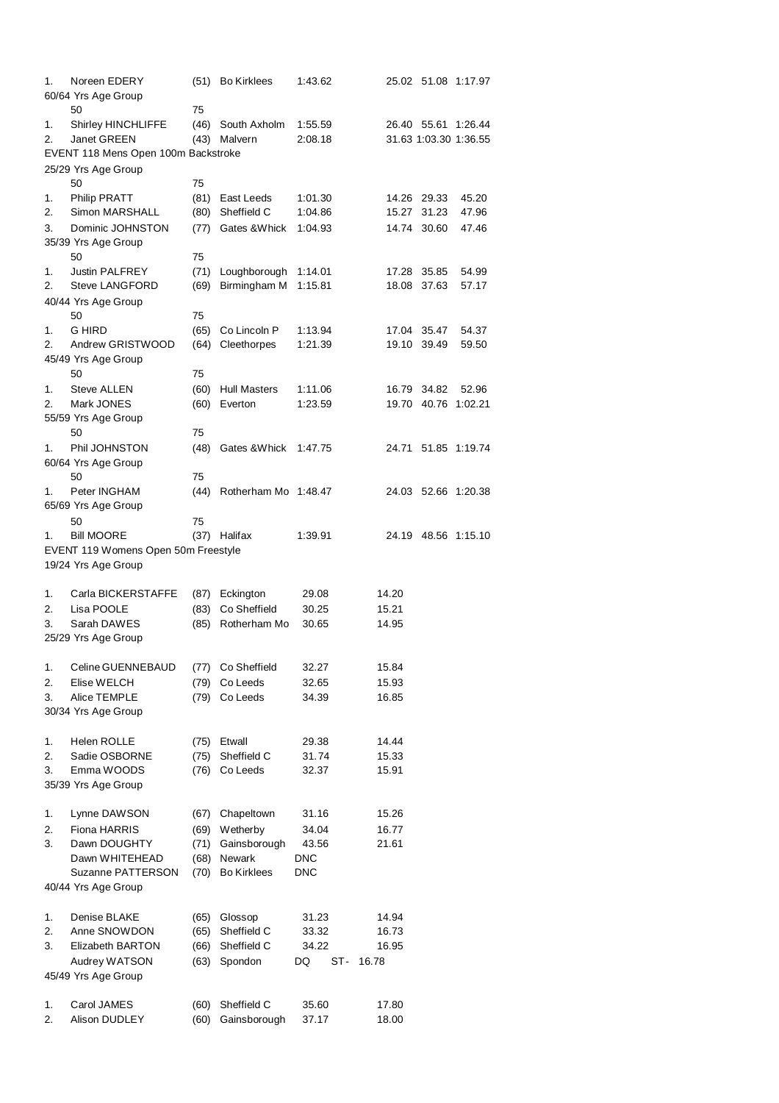| 1. | Noreen EDERY                            |      | (51) Bo Kirklees     | 1:43.62    |       |             | 25.02 51.08 1:17.97   |  |
|----|-----------------------------------------|------|----------------------|------------|-------|-------------|-----------------------|--|
|    | 60/64 Yrs Age Group                     |      |                      |            |       |             |                       |  |
|    | 50                                      | 75   |                      |            |       |             |                       |  |
| 1. | Shirley HINCHLIFFE                      | (46) | South Axholm         | 1:55.59    |       |             | 26.40 55.61 1:26.44   |  |
| 2. | Janet GREEN                             |      | (43) Malvern         | 2:08.18    |       |             | 31.63 1:03.30 1:36.55 |  |
|    | EVENT 118 Mens Open 100m Backstroke     |      |                      |            |       |             |                       |  |
|    | 25/29 Yrs Age Group                     |      |                      |            |       |             |                       |  |
|    | 50                                      | 75   |                      |            |       |             |                       |  |
| 1. | <b>Philip PRATT</b>                     | (81) | East Leeds           | 1:01.30    |       | 14.26 29.33 | 45.20                 |  |
| 2. | Simon MARSHALL                          | (80) | Sheffield C          | 1:04.86    | 15.27 | 31.23       | 47.96                 |  |
| 3. | Dominic JOHNSTON                        | (77) | Gates & Whick        | 1:04.93    |       | 14.74 30.60 | 47.46                 |  |
|    | 35/39 Yrs Age Group                     |      |                      |            |       |             |                       |  |
|    | 50                                      | 75   |                      |            |       |             |                       |  |
| 1. | <b>Justin PALFREY</b>                   | (71) | Loughborough         | 1:14.01    |       | 17.28 35.85 | 54.99                 |  |
| 2. | <b>Steve LANGFORD</b>                   | (69) | Birmingham M         | 1:15.81    |       | 18.08 37.63 | 57.17                 |  |
|    | 40/44 Yrs Age Group                     |      |                      |            |       |             |                       |  |
|    | 50                                      | 75   |                      |            |       |             |                       |  |
| 1. | G HIRD                                  | (65) | Co Lincoln P         | 1:13.94    |       | 17.04 35.47 | 54.37                 |  |
| 2. | Andrew GRISTWOOD<br>45/49 Yrs Age Group | (64) | Cleethorpes          | 1:21.39    |       | 19.10 39.49 | 59.50                 |  |
|    | 50                                      | 75   |                      |            |       |             |                       |  |
|    | <b>Steve ALLEN</b>                      |      |                      |            |       | 16.79 34.82 |                       |  |
| 1. |                                         |      | (60) Hull Masters    | 1:11.06    |       |             | 52.96                 |  |
| 2. | Mark JONES                              | (60) | Everton              | 1:23.59    |       |             | 19.70 40.76 1:02.21   |  |
|    | 55/59 Yrs Age Group<br>50               | 75   |                      |            |       |             |                       |  |
| 1. | Phil JOHNSTON                           | (48) | Gates & Whick        | 1:47.75    |       |             | 24.71 51.85 1:19.74   |  |
|    |                                         |      |                      |            |       |             |                       |  |
|    | 60/64 Yrs Age Group<br>50               | 75   |                      |            |       |             |                       |  |
| 1. | Peter INGHAM                            | (44) | Rotherham Mo 1:48.47 |            |       |             | 24.03 52.66 1:20.38   |  |
|    | 65/69 Yrs Age Group                     |      |                      |            |       |             |                       |  |
|    | 50                                      | 75   |                      |            |       |             |                       |  |
| 1. | <b>Bill MOORE</b>                       |      | (37) Halifax         | 1:39.91    |       |             | 24.19 48.56 1:15.10   |  |
|    | EVENT 119 Womens Open 50m Freestyle     |      |                      |            |       |             |                       |  |
|    | 19/24 Yrs Age Group                     |      |                      |            |       |             |                       |  |
|    |                                         |      |                      |            |       |             |                       |  |
| 1. | Carla BICKERSTAFFE                      | (87) | Eckington            | 29.08      | 14.20 |             |                       |  |
| 2. | Lisa POOLE                              | (83) | Co Sheffield         | 30.25      | 15.21 |             |                       |  |
| 3. | Sarah DAWES                             | (85) | Rotherham Mo         | 30.65      | 14.95 |             |                       |  |
|    | 25/29 Yrs Age Group                     |      |                      |            |       |             |                       |  |
|    |                                         |      |                      |            |       |             |                       |  |
| 1. | Celine GUENNEBAUD                       | (77) | Co Sheffield         | 32.27      | 15.84 |             |                       |  |
| 2. | Elise WELCH                             | (79) | Co Leeds             | 32.65      | 15.93 |             |                       |  |
| 3. | Alice TEMPLE                            | (79) | Co Leeds             | 34.39      | 16.85 |             |                       |  |
|    | 30/34 Yrs Age Group                     |      |                      |            |       |             |                       |  |
|    |                                         |      |                      |            |       |             |                       |  |
| 1. | Helen ROLLE                             | (75) | Etwall               | 29.38      | 14.44 |             |                       |  |
| 2. | Sadie OSBORNE                           | (75) | Sheffield C          | 31.74      | 15.33 |             |                       |  |
| 3. | Emma WOODS                              | (76) | Co Leeds             | 32.37      | 15.91 |             |                       |  |
|    | 35/39 Yrs Age Group                     |      |                      |            |       |             |                       |  |
|    |                                         |      |                      |            |       |             |                       |  |
| 1. | Lynne DAWSON                            | (67) | Chapeltown           | 31.16      | 15.26 |             |                       |  |
| 2. | <b>Fiona HARRIS</b>                     | (69) | Wetherby             | 34.04      | 16.77 |             |                       |  |
| 3. | Dawn DOUGHTY                            | (71) | Gainsborough         | 43.56      | 21.61 |             |                       |  |
|    | Dawn WHITEHEAD                          | (68) | Newark               | <b>DNC</b> |       |             |                       |  |
|    | Suzanne PATTERSON                       | (70) | <b>Bo Kirklees</b>   | DNC        |       |             |                       |  |
|    | 40/44 Yrs Age Group                     |      |                      |            |       |             |                       |  |
|    |                                         |      |                      |            |       |             |                       |  |
| 1. | Denise BLAKE                            | (65) | Glossop              | 31.23      | 14.94 |             |                       |  |
| 2. | Anne SNOWDON                            | (65) | Sheffield C          | 33.32      | 16.73 |             |                       |  |
| 3. | Elizabeth BARTON                        | (66) | Sheffield C          | 34.22      | 16.95 |             |                       |  |
|    | <b>Audrey WATSON</b>                    | (63) | Spondon              | ST-<br>DQ  | 16.78 |             |                       |  |
|    | 45/49 Yrs Age Group                     |      |                      |            |       |             |                       |  |
|    |                                         |      |                      |            |       |             |                       |  |
| 1. | Carol JAMES                             | (60) | Sheffield C          | 35.60      | 17.80 |             |                       |  |
| 2. | Alison DUDLEY                           | (60) | Gainsborough         | 37.17      | 18.00 |             |                       |  |
|    |                                         |      |                      |            |       |             |                       |  |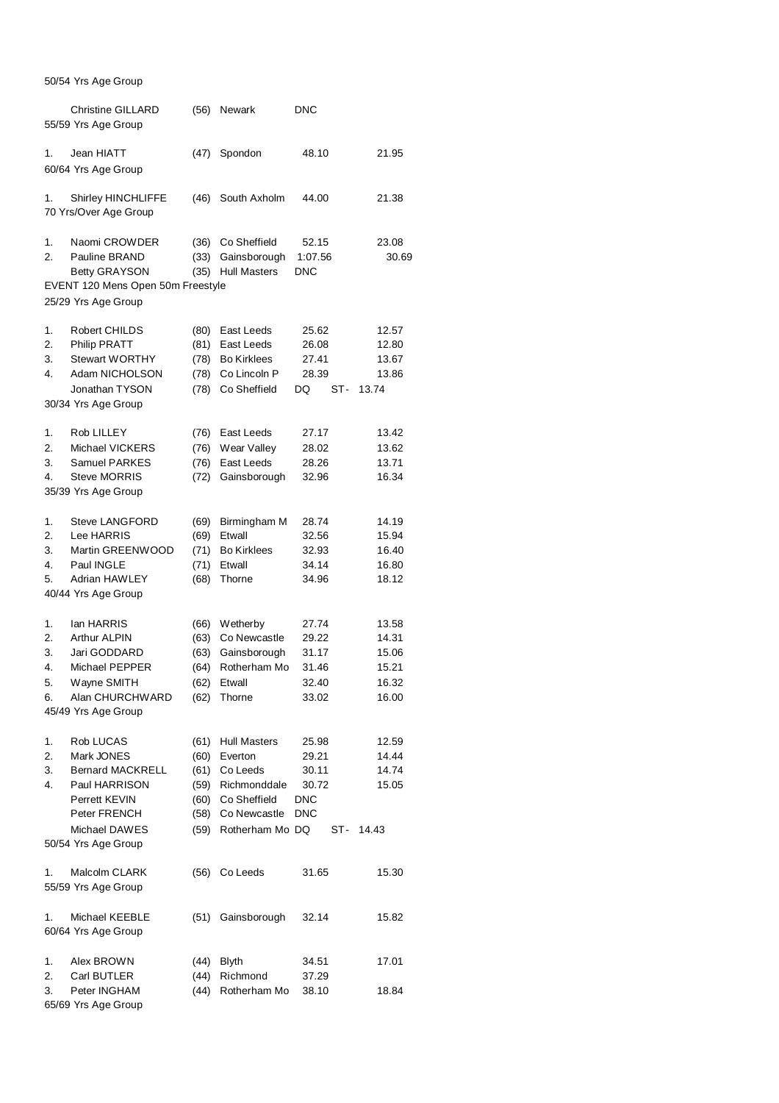## 50/54 Yrs Age Group

|    | <b>Christine GILLARD</b><br>55/59 Yrs Age Group          | (56) | Newark              | <b>DNC</b> |       |
|----|----------------------------------------------------------|------|---------------------|------------|-------|
| 1. | Jean HIATT<br>60/64 Yrs Age Group                        | (47) | Spondon             | 48.10      | 21.95 |
| 1. | Shirley HINCHLIFFE<br>70 Yrs/Over Age Group              | (46) | South Axholm        | 44.00      | 21.38 |
| 1. | Naomi CROWDER                                            | (36) | Co Sheffield        | 52.15      | 23.08 |
| 2. | Pauline BRAND                                            | (33) | Gainsborough        | 1:07.56    | 30.69 |
|    | <b>Betty GRAYSON</b>                                     | (35) | <b>Hull Masters</b> | <b>DNC</b> |       |
|    | EVENT 120 Mens Open 50m Freestyle<br>25/29 Yrs Age Group |      |                     |            |       |
| 1. | Robert CHILDS                                            | (80) | East Leeds          | 25.62      | 12.57 |
| 2. | <b>Philip PRATT</b>                                      | (81) | East Leeds          | 26.08      | 12.80 |
| 3. | <b>Stewart WORTHY</b>                                    | (78) | <b>Bo Kirklees</b>  | 27.41      | 13.67 |
| 4. | Adam NICHOLSON                                           | (78) | Co Lincoln P        | 28.39      | 13.86 |
|    | Jonathan TYSON                                           | (78) | Co Sheffield        | DQ<br>ST-  | 13.74 |
|    | 30/34 Yrs Age Group                                      |      |                     |            |       |
| 1. | Rob LILLEY                                               | (76) | East Leeds          | 27.17      | 13.42 |
| 2. | Michael VICKERS                                          | (76) | Wear Valley         | 28.02      | 13.62 |
| 3. | Samuel PARKES                                            | (76) | East Leeds          | 28.26      | 13.71 |
| 4. | <b>Steve MORRIS</b><br>35/39 Yrs Age Group               | (72) | Gainsborough        | 32.96      | 16.34 |
| 1. | <b>Steve LANGFORD</b>                                    | (69) | Birmingham M        | 28.74      | 14.19 |
| 2. | Lee HARRIS                                               | (69) | Etwall              | 32.56      | 15.94 |
| 3. | Martin GREENWOOD                                         | (71) | <b>Bo Kirklees</b>  | 32.93      | 16.40 |
| 4. | Paul INGLE                                               | (71) | Etwall              | 34.14      | 16.80 |
| 5. | Adrian HAWLEY                                            | (68) | Thorne              | 34.96      | 18.12 |
|    | 40/44 Yrs Age Group                                      |      |                     |            |       |
| 1. | lan HARRIS                                               | (66) | Wetherby            | 27.74      | 13.58 |
| 2. | Arthur ALPIN                                             | (63) | Co Newcastle        | 29.22      | 14.31 |
| 3. | Jari GODDARD                                             | (63) | Gainsborough        | 31.17      | 15.06 |
| 4. | Michael PEPPER                                           | (64) | Rotherham Mo        | 31.46      | 15.21 |
| 5. | Wayne SMITH                                              | (62) | Etwall              | 32.40      | 16.32 |
| 6. | Alan CHURCHWARD                                          | (62) | Thorne              | 33.02      | 16.00 |
|    | 45/49 Yrs Age Group                                      |      |                     |            |       |
| 1. | Rob LUCAS                                                | (61) | <b>Hull Masters</b> | 25.98      | 12.59 |
| 2. | Mark JONES                                               | (60) | Everton             | 29.21      | 14.44 |
| 3. | <b>Bernard MACKRELL</b>                                  | (61) | Co Leeds            | 30.11      | 14.74 |
| 4. | Paul HARRISON                                            | (59) | Richmonddale        | 30.72      | 15.05 |
|    | Perrett KEVIN                                            | (60) | Co Sheffield        | <b>DNC</b> |       |
|    | Peter FRENCH                                             | (58) | Co Newcastle        | <b>DNC</b> |       |
|    | Michael DAWES                                            | (59) | Rotherham Mo DQ     | ST-        | 14.43 |
|    | 50/54 Yrs Age Group                                      |      |                     |            |       |
| 1. | Malcolm CLARK<br>55/59 Yrs Age Group                     | (56) | Co Leeds            | 31.65      | 15.30 |
| 1. | Michael KEEBLE<br>60/64 Yrs Age Group                    | (51) | Gainsborough        | 32.14      | 15.82 |
| 1. | Alex BROWN                                               | (44) | <b>Blyth</b>        | 34.51      | 17.01 |
| 2. | Carl BUTLER                                              | (44) | Richmond            | 37.29      |       |
| 3. | Peter INGHAM                                             | (44) | Rotherham Mo        | 38.10      | 18.84 |
|    | 65/69 Yrs Age Group                                      |      |                     |            |       |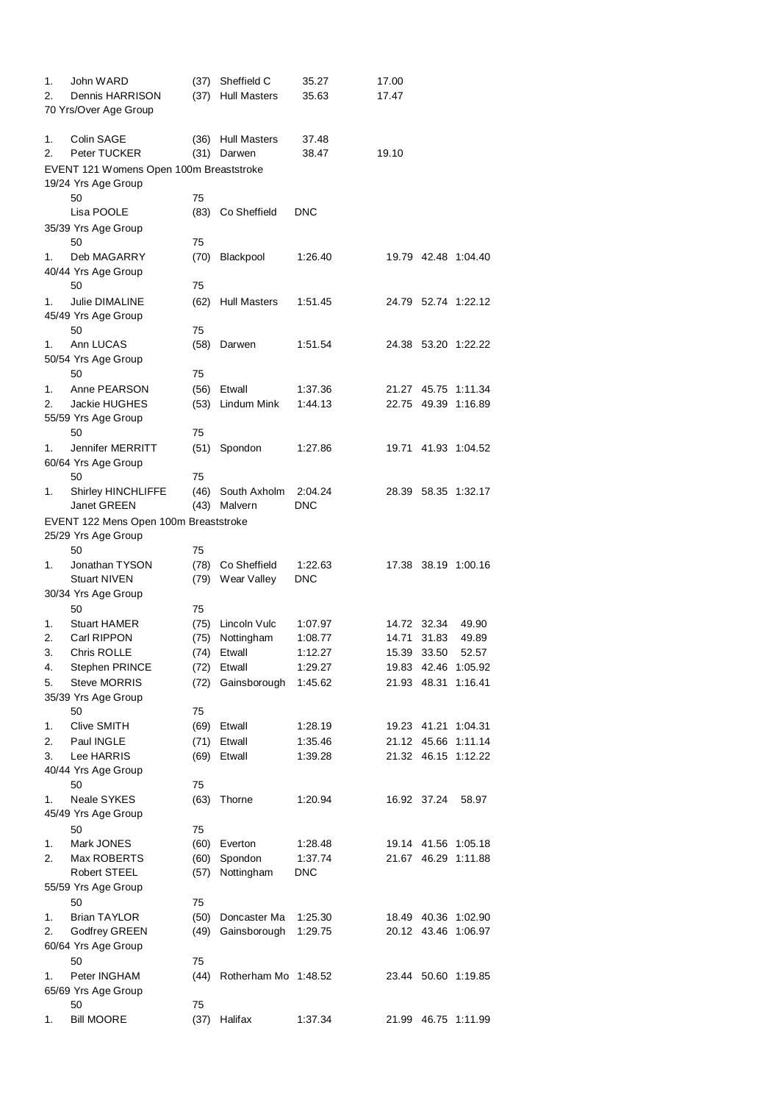| 1.<br>2. | John WARD<br>Dennis HARRISON<br>70 Yrs/Over Age Group          | (37)<br>(37) | Sheffield C<br><b>Hull Masters</b> | 35.27<br>35.63     | 17.00<br>17.47       |       |                              |
|----------|----------------------------------------------------------------|--------------|------------------------------------|--------------------|----------------------|-------|------------------------------|
| 1.<br>2. | Colin SAGE<br>Peter TUCKER                                     | (36)         | <b>Hull Masters</b><br>(31) Darwen | 37.48<br>38.47     | 19.10                |       |                              |
|          | EVENT 121 Womens Open 100m Breaststroke<br>19/24 Yrs Age Group |              |                                    |                    |                      |       |                              |
|          | 50                                                             | 75           |                                    |                    |                      |       |                              |
|          | Lisa POOLE                                                     | (83)         | Co Sheffield                       | <b>DNC</b>         |                      |       |                              |
|          | 35/39 Yrs Age Group                                            |              |                                    |                    |                      |       |                              |
|          | 50                                                             | 75           |                                    |                    |                      |       |                              |
| 1.       | Deb MAGARRY                                                    | (70)         | Blackpool                          | 1:26.40            |                      |       | 19.79 42.48 1:04.40          |
|          | 40/44 Yrs Age Group<br>50                                      | 75           |                                    |                    |                      |       |                              |
| 1.       | Julie DIMALINE                                                 | (62)         | <b>Hull Masters</b>                | 1:51.45            |                      |       | 24.79 52.74 1:22.12          |
|          | 45/49 Yrs Age Group                                            |              |                                    |                    |                      |       |                              |
|          | 50                                                             | 75           |                                    |                    |                      |       |                              |
| 1.       | Ann LUCAS                                                      | (58)         | Darwen                             | 1:51.54            |                      |       | 24.38 53.20 1:22.22          |
|          | 50/54 Yrs Age Group                                            |              |                                    |                    |                      |       |                              |
| 1.       | 50                                                             | 75           |                                    |                    |                      | 45.75 |                              |
| 2.       | Anne PEARSON<br>Jackie HUGHES                                  | (56)<br>(53) | Etwall<br>Lindum Mink              | 1:37.36<br>1:44.13 | 21.27<br>22.75 49.39 |       | 1:11.34<br>1:16.89           |
|          | 55/59 Yrs Age Group                                            |              |                                    |                    |                      |       |                              |
|          | 50                                                             | 75           |                                    |                    |                      |       |                              |
| 1.       | Jennifer MERRITT                                               | (51)         | Spondon                            | 1:27.86            |                      |       | 19.71 41.93 1:04.52          |
|          | 60/64 Yrs Age Group                                            |              |                                    |                    |                      |       |                              |
|          | 50                                                             | 75           |                                    |                    |                      |       |                              |
| 1.       | Shirley HINCHLIFFE                                             | (46)         | South Axholm                       | 2:04.24            |                      |       | 28.39 58.35 1:32.17          |
|          | Janet GREEN                                                    | (43)         | Malvern                            | <b>DNC</b>         |                      |       |                              |
|          | EVENT 122 Mens Open 100m Breaststroke<br>25/29 Yrs Age Group   |              |                                    |                    |                      |       |                              |
|          | 50                                                             | 75           |                                    |                    |                      |       |                              |
| 1.       | Jonathan TYSON                                                 | (78)         | Co Sheffield                       | 1:22.63            |                      |       | 17.38 38.19 1:00.16          |
|          | <b>Stuart NIVEN</b>                                            | (79)         | Wear Valley                        | <b>DNC</b>         |                      |       |                              |
|          | 30/34 Yrs Age Group                                            |              |                                    |                    |                      |       |                              |
|          | 50                                                             | 75           |                                    |                    |                      |       |                              |
| 1.       | <b>Stuart HAMER</b>                                            | (75)         | Lincoln Vulc                       | 1:07.97            | 14.72                | 32.34 | 49.90                        |
| 2.       | Carl RIPPON                                                    | (75)         | Nottingham                         | 1:08.77            | 14.71                | 31.83 | 49.89                        |
| 3.<br>4. | Chris ROLLE<br>Stephen PRINCE                                  | (74)         | Etwall<br>(72) Etwall              | 1:12.27<br>1:29.27 | 15.39                | 33.50 | 52.57<br>19.83 42.46 1:05.92 |
| 5.       | <b>Steve MORRIS</b>                                            | (72)         | Gainsborough                       | 1:45.62            | 21.93 48.31          |       | 1:16.41                      |
|          | 35/39 Yrs Age Group                                            |              |                                    |                    |                      |       |                              |
|          | 50                                                             | 75           |                                    |                    |                      |       |                              |
| 1.       | Clive SMITH                                                    |              | (69) Etwall                        | 1:28.19            |                      |       | 19.23 41.21 1:04.31          |
| 2.       | Paul INGLE                                                     |              | (71) Etwall                        | 1:35.46            | 21.12 45.66          |       | 1:11.14                      |
| 3.       | Lee HARRIS                                                     |              | (69) Etwall                        | 1:39.28            | 21.32 46.15          |       | 1:12.22                      |
|          | 40/44 Yrs Age Group                                            |              |                                    |                    |                      |       |                              |
| 1.       | 50<br><b>Neale SYKES</b>                                       | 75<br>(63)   | Thorne                             | 1:20.94            | 16.92 37.24          |       | 58.97                        |
|          | 45/49 Yrs Age Group                                            |              |                                    |                    |                      |       |                              |
|          | 50                                                             | 75           |                                    |                    |                      |       |                              |
| 1.       | Mark JONES                                                     | (60)         | Everton                            | 1:28.48            |                      |       | 19.14 41.56 1:05.18          |
| 2.       | Max ROBERTS                                                    | (60)         | Spondon                            | 1:37.74            | 21.67 46.29          |       | 1:11.88                      |
|          | Robert STEEL                                                   | (57)         | Nottingham                         | <b>DNC</b>         |                      |       |                              |
|          | 55/59 Yrs Age Group                                            |              |                                    |                    |                      |       |                              |
|          | 50                                                             | 75           |                                    |                    |                      |       |                              |
| 1.       | <b>Brian TAYLOR</b>                                            | (50)         | Doncaster Ma                       | 1:25.30            |                      |       | 18.49 40.36 1:02.90          |
| 2.       | Godfrey GREEN<br>60/64 Yrs Age Group                           | (49)         | Gainsborough                       | 1:29.75            |                      |       | 20.12 43.46 1:06.97          |
|          | 50                                                             | 75           |                                    |                    |                      |       |                              |
| 1.       | Peter INGHAM                                                   | (44)         | Rotherham Mo 1:48.52               |                    |                      |       | 23.44 50.60 1:19.85          |
|          | 65/69 Yrs Age Group                                            |              |                                    |                    |                      |       |                              |
|          | 50                                                             | 75           |                                    |                    |                      |       |                              |
| 1.       | <b>Bill MOORE</b>                                              | (37)         | Halifax                            | 1:37.34            | 21.99                |       | 46.75 1:11.99                |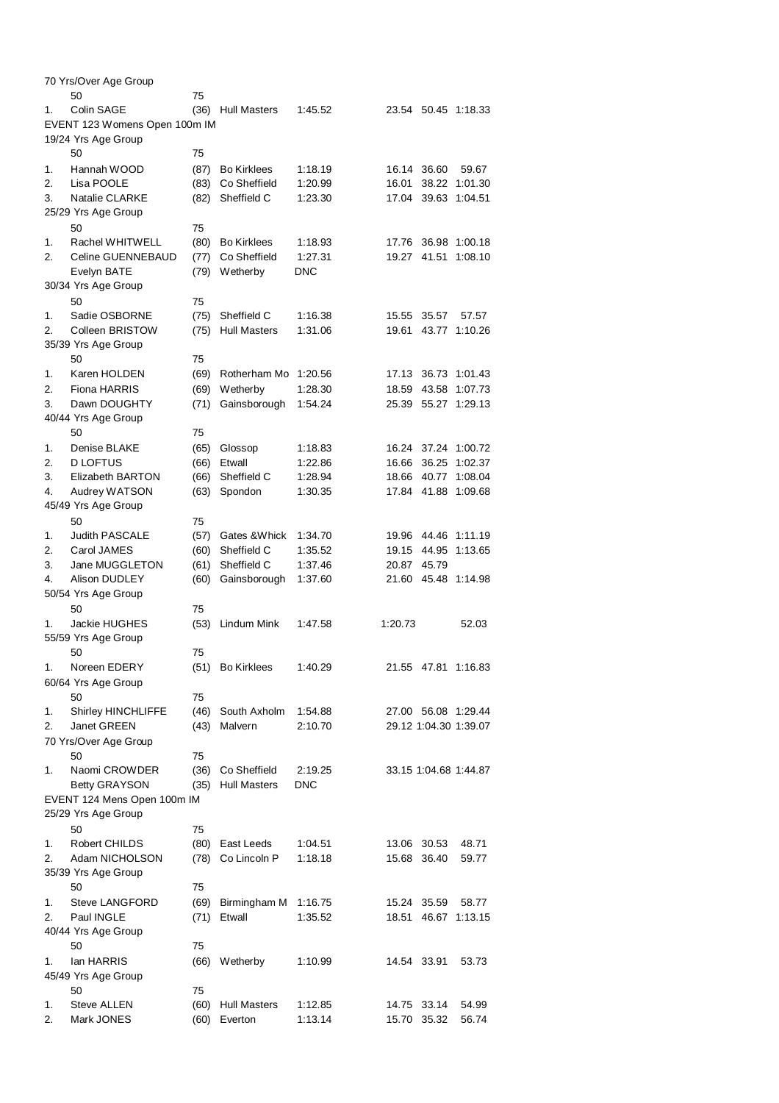|    | 70 Yrs/Over Age Group         |      |                     |         |         |             |                       |
|----|-------------------------------|------|---------------------|---------|---------|-------------|-----------------------|
|    | 50                            | 75   |                     |         |         |             |                       |
| 1. | Colin SAGE                    | (36) | <b>Hull Masters</b> | 1:45.52 | 23.54   |             | 50.45 1:18.33         |
|    | EVENT 123 Womens Open 100m IM |      |                     |         |         |             |                       |
|    | 19/24 Yrs Age Group           |      |                     |         |         |             |                       |
|    | 50                            | 75   |                     |         |         |             |                       |
| 1. | Hannah WOOD                   | (87) | <b>Bo Kirklees</b>  | 1:18.19 |         | 16.14 36.60 | 59.67                 |
| 2. | Lisa POOLE                    | (83) | Co Sheffield        | 1:20.99 | 16.01   | 38.22       | 1:01.30               |
| 3. | Natalie CLARKE                | (82) | Sheffield C         | 1:23.30 | 17.04   | 39.63       | 1:04.51               |
|    | 25/29 Yrs Age Group           |      |                     |         |         |             |                       |
|    |                               |      |                     |         |         |             |                       |
|    | 50                            | 75   |                     |         |         |             |                       |
| 1. | Rachel WHITWELL               | (80) | <b>Bo Kirklees</b>  | 1:18.93 | 17.76   | 36.98       | 1:00.18               |
| 2. | Celine GUENNEBAUD             | (77) | Co Sheffield        | 1:27.31 | 19.27   | 41.51       | 1:08.10               |
|    | Evelyn BATE                   | (79) | Wetherby            | DNC     |         |             |                       |
|    | 30/34 Yrs Age Group           |      |                     |         |         |             |                       |
|    | 50                            | 75   |                     |         |         |             |                       |
| 1. | Sadie OSBORNE                 | (75) | Sheffield C         | 1:16.38 | 15.55   | 35.57       | 57.57                 |
| 2. | Colleen BRISTOW               | (75) | <b>Hull Masters</b> | 1:31.06 | 19.61   | 43.77       | 1:10.26               |
|    | 35/39 Yrs Age Group           |      |                     |         |         |             |                       |
|    | 50                            | 75   |                     |         |         |             |                       |
| 1. | Karen HOLDEN                  | (69) | Rotherham Mo        | 1:20.56 | 17.13   | 36.73       | 1:01.43               |
| 2. | Fiona HARRIS                  | (69) | Wetherby            | 1:28.30 | 18.59   | 43.58       | 1:07.73               |
| 3. | Dawn DOUGHTY                  | (71) | Gainsborough        | 1:54.24 | 25.39   | 55.27       | 1:29.13               |
|    | 40/44 Yrs Age Group           |      |                     |         |         |             |                       |
|    | 50                            |      |                     |         |         |             |                       |
|    |                               | 75   |                     |         |         |             |                       |
| 1. | Denise BLAKE                  | (65) | Glossop             | 1:18.83 | 16.24   | 37.24       | 1:00.72               |
| 2. | <b>D LOFTUS</b>               | (66) | Etwall              | 1:22.86 | 16.66   | 36.25       | 1:02.37               |
| 3. | Elizabeth BARTON              | (66) | Sheffield C         | 1:28.94 | 18.66   | 40.77       | 1:08.04               |
| 4. | Audrey WATSON                 | (63) | Spondon             | 1:30.35 | 17.84   | 41.88       | 1:09.68               |
|    | 45/49 Yrs Age Group           |      |                     |         |         |             |                       |
|    | 50                            | 75   |                     |         |         |             |                       |
| 1. | <b>Judith PASCALE</b>         | (57) | Gates & Whick       | 1:34.70 |         | 19.96 44.46 | 1:11.19               |
| 2. | Carol JAMES                   | (60) | Sheffield C         | 1:35.52 | 19.15   | 44.95       | 1:13.65               |
| 3. | Jane MUGGLETON                | (61) | Sheffield C         | 1:37.46 | 20.87   | 45.79       |                       |
| 4. | Alison DUDLEY                 | (60) | Gainsborough        | 1:37.60 | 21.60   | 45.48       | 1:14.98               |
|    | 50/54 Yrs Age Group           |      |                     |         |         |             |                       |
|    | 50                            | 75   |                     |         |         |             |                       |
| 1. | Jackie HUGHES                 | (53) | Lindum Mink         | 1:47.58 | 1:20.73 |             | 52.03                 |
|    |                               |      |                     |         |         |             |                       |
|    | 55/59 Yrs Age Group           |      |                     |         |         |             |                       |
|    | 50                            | 75   |                     |         |         |             |                       |
| 1. | Noreen EDERY                  | (51) | <b>Bo Kirklees</b>  | 1:40.29 |         |             | 21.55 47.81 1:16.83   |
|    | 60/64 Yrs Age Group           |      |                     |         |         |             |                       |
|    | 50                            | 75   |                     |         |         |             |                       |
| 1. | Shirley HINCHLIFFE            | (46) | South Axholm        | 1:54.88 |         |             | 27.00 56.08 1:29.44   |
| 2. | Janet GREEN                   | (43) | Malvern             | 2:10.70 |         |             | 29.12 1:04.30 1:39.07 |
|    | 70 Yrs/Over Age Group         |      |                     |         |         |             |                       |
|    | 50                            | 75   |                     |         |         |             |                       |
| 1. | Naomi CROWDER                 | (36) | Co Sheffield        | 2:19.25 |         |             | 33.15 1:04.68 1:44.87 |
|    | <b>Betty GRAYSON</b>          | (35) | <b>Hull Masters</b> | DNC     |         |             |                       |
|    | EVENT 124 Mens Open 100m IM   |      |                     |         |         |             |                       |
|    | 25/29 Yrs Age Group           |      |                     |         |         |             |                       |
|    | 50                            | 75   |                     |         |         |             |                       |
|    | Robert CHILDS                 | (80) |                     |         |         |             |                       |
| 1. |                               |      | East Leeds          | 1:04.51 |         | 13.06 30.53 | 48.71                 |
| 2. | Adam NICHOLSON                | (78) | Co Lincoln P        | 1:18.18 | 15.68   | 36.40       | 59.77                 |
|    | 35/39 Yrs Age Group           |      |                     |         |         |             |                       |
|    | 50                            | 75   |                     |         |         |             |                       |
| 1. | <b>Steve LANGFORD</b>         | (69) | Birmingham M        | 1:16.75 | 15.24   | 35.59       | 58.77                 |
| 2. | Paul INGLE                    | (71) | Etwall              | 1:35.52 | 18.51   | 46.67       | 1:13.15               |
|    | 40/44 Yrs Age Group           |      |                     |         |         |             |                       |
|    | 50                            | 75   |                     |         |         |             |                       |
| 1. | lan HARRIS                    | (66) | Wetherby            | 1:10.99 |         | 14.54 33.91 | 53.73                 |
|    | 45/49 Yrs Age Group           |      |                     |         |         |             |                       |
|    | 50                            | 75   |                     |         |         |             |                       |
| 1. | Steve ALLEN                   | (60) | <b>Hull Masters</b> | 1:12.85 | 14.75   | 33.14       | 54.99                 |
| 2. | Mark JONES                    | (60) | Everton             | 1:13.14 |         | 15.70 35.32 | 56.74                 |
|    |                               |      |                     |         |         |             |                       |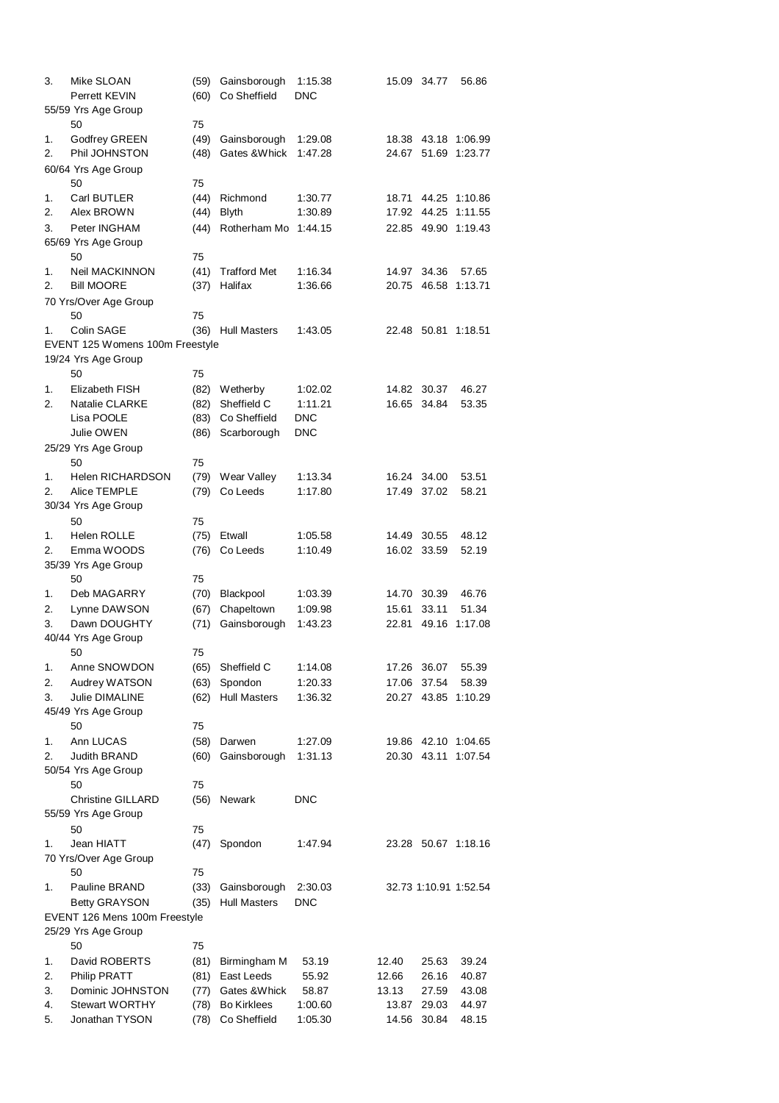| 3.       | Mike SLOAN                           | (59) | Gainsborough        | 1:15.38<br><b>DNC</b> | 15.09 | 34.77          | 56.86                 |
|----------|--------------------------------------|------|---------------------|-----------------------|-------|----------------|-----------------------|
|          | Perrett KEVIN<br>55/59 Yrs Age Group | (60) | Co Sheffield        |                       |       |                |                       |
|          | 50                                   | 75   |                     |                       |       |                |                       |
| 1.       | <b>Godfrey GREEN</b>                 | (49) | Gainsborough        | 1:29.08               | 18.38 | 43.18          | 1:06.99               |
| 2.       | Phil JOHNSTON                        | (48) | Gates & Whick       | 1:47.28               | 24.67 | 51.69          | 1:23.77               |
|          |                                      |      |                     |                       |       |                |                       |
|          | 60/64 Yrs Age Group                  |      |                     |                       |       |                |                       |
|          | 50                                   | 75   |                     |                       |       |                |                       |
| 1.<br>2. | Carl BUTLER                          | (44) | Richmond            | 1:30.77               | 18.71 | 44.25<br>44.25 | 1:10.86               |
|          | Alex BROWN                           | (44) | <b>Blyth</b>        | 1:30.89               | 17.92 |                | 1:11.55               |
| 3.       | Peter INGHAM                         | (44) | Rotherham Mo        | 1:44.15               | 22.85 | 49.90          | 1:19.43               |
|          | 65/69 Yrs Age Group                  |      |                     |                       |       |                |                       |
|          | 50                                   | 75   |                     |                       |       |                |                       |
| 1.       | Neil MACKINNON                       | (41) | <b>Trafford Met</b> | 1:16.34               | 14.97 | 34.36          | 57.65                 |
| 2.       | <b>Bill MOORE</b>                    | (37) | Halifax             | 1:36.66               | 20.75 | 46.58          | 1:13.71               |
|          | 70 Yrs/Over Age Group                |      |                     |                       |       |                |                       |
|          | 50                                   | 75   |                     |                       |       |                |                       |
| 1.       | Colin SAGE                           | (36) | <b>Hull Masters</b> | 1:43.05               | 22.48 | 50.81          | 1:18.51               |
|          | EVENT 125 Womens 100m Freestyle      |      |                     |                       |       |                |                       |
|          | 19/24 Yrs Age Group                  |      |                     |                       |       |                |                       |
|          | 50                                   | 75   |                     |                       |       |                |                       |
| 1.       | Elizabeth FISH                       | (82) | Wetherby            | 1:02.02               | 14.82 | 30.37          | 46.27                 |
| 2.       | <b>Natalie CLARKE</b>                | (82) | Sheffield C         | 1:11.21               | 16.65 | 34.84          | 53.35                 |
|          | Lisa POOLE                           | (83) | Co Sheffield        | <b>DNC</b>            |       |                |                       |
|          | Julie OWEN                           | (86) | Scarborough         | <b>DNC</b>            |       |                |                       |
|          | 25/29 Yrs Age Group                  |      |                     |                       |       |                |                       |
|          | 50                                   | 75   |                     |                       |       |                |                       |
| 1.       | Helen RICHARDSON                     | (79) | Wear Valley         | 1:13.34               | 16.24 | 34.00          | 53.51                 |
| 2.       | Alice TEMPLE                         | (79) | Co Leeds            | 1:17.80               | 17.49 | 37.02          | 58.21                 |
|          | 30/34 Yrs Age Group                  |      |                     |                       |       |                |                       |
|          | 50                                   | 75   |                     |                       |       |                |                       |
| 1.       | <b>Helen ROLLE</b>                   | (75) | Etwall              | 1:05.58               | 14.49 | 30.55          | 48.12                 |
| 2.       | Emma WOODS                           | (76) | Co Leeds            | 1:10.49               | 16.02 | 33.59          | 52.19                 |
|          | 35/39 Yrs Age Group                  |      |                     |                       |       |                |                       |
|          | 50                                   | 75   |                     |                       |       |                |                       |
| 1.       | Deb MAGARRY                          | (70) | Blackpool           | 1:03.39               | 14.70 | 30.39          | 46.76                 |
| 2.       | Lynne DAWSON                         | (67) | Chapeltown          | 1:09.98               | 15.61 | 33.11          | 51.34                 |
| 3.       | Dawn DOUGHTY                         | (71) | Gainsborough        | 1:43.23               | 22.81 | 49.16          | 1:17.08               |
|          | 40/44 Yrs Age Group                  |      |                     |                       |       |                |                       |
|          | 50                                   | 75   |                     |                       |       |                |                       |
| 1.       | Anne SNOWDON                         | (65) | Sheffield C         | 1:14.08               | 17.26 | 36.07          | 55.39                 |
| 2.       | Audrey WATSON                        | (63) | Spondon             | 1:20.33               | 17.06 | 37.54          | 58.39                 |
| 3.       | Julie DIMALINE                       | (62) | <b>Hull Masters</b> | 1:36.32               | 20.27 | 43.85          | 1:10.29               |
|          | 45/49 Yrs Age Group                  |      |                     |                       |       |                |                       |
|          | 50                                   | 75   |                     |                       |       |                |                       |
| 1.       | Ann LUCAS                            | (58) | Darwen              | 1:27.09               |       |                | 19.86 42.10 1:04.65   |
| 2.       | <b>Judith BRAND</b>                  | (60) | Gainsborough        | 1:31.13               | 20.30 | 43.11          | 1:07.54               |
|          | 50/54 Yrs Age Group                  |      |                     |                       |       |                |                       |
|          | 50                                   | 75   |                     |                       |       |                |                       |
|          | <b>Christine GILLARD</b>             | (56) | Newark              | DNC                   |       |                |                       |
|          | 55/59 Yrs Age Group                  |      |                     |                       |       |                |                       |
|          | 50                                   | 75   |                     |                       |       |                |                       |
| 1.       | Jean HIATT                           | (47) | Spondon             | 1:47.94               |       |                | 23.28 50.67 1:18.16   |
|          | 70 Yrs/Over Age Group                |      |                     |                       |       |                |                       |
|          | 50                                   | 75   |                     |                       |       |                |                       |
| 1.       | Pauline BRAND                        | (33) | Gainsborough        | 2:30.03               |       |                | 32.73 1:10.91 1:52.54 |
|          | <b>Betty GRAYSON</b>                 | (35) | <b>Hull Masters</b> | DNC                   |       |                |                       |
|          | EVENT 126 Mens 100m Freestyle        |      |                     |                       |       |                |                       |
|          | 25/29 Yrs Age Group                  |      |                     |                       |       |                |                       |
|          | 50                                   | 75   |                     |                       |       |                |                       |
| 1.       | David ROBERTS                        | (81) | Birmingham M        | 53.19                 | 12.40 | 25.63          | 39.24                 |
| 2.       | Philip PRATT                         | (81) | East Leeds          | 55.92                 | 12.66 | 26.16          | 40.87                 |
| 3.       | Dominic JOHNSTON                     | (77) | Gates & Whick       | 58.87                 | 13.13 | 27.59          | 43.08                 |
| 4.       | <b>Stewart WORTHY</b>                | (78) | <b>Bo Kirklees</b>  | 1:00.60               | 13.87 | 29.03          | 44.97                 |
| 5.       | Jonathan TYSON                       | (78) | Co Sheffield        | 1:05.30               | 14.56 | 30.84          | 48.15                 |
|          |                                      |      |                     |                       |       |                |                       |